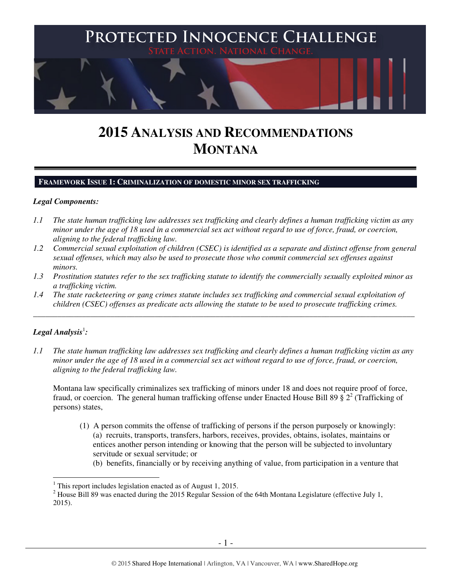

# **2015 ANALYSIS AND RECOMMENDATIONS MONTANA**

#### **FRAMEWORK ISSUE 1: CRIMINALIZATION OF DOMESTIC MINOR SEX TRAFFICKING**

## *Legal Components:*

- *1.1 The state human trafficking law addresses sex trafficking and clearly defines a human trafficking victim as any minor under the age of 18 used in a commercial sex act without regard to use of force, fraud, or coercion, aligning to the federal trafficking law.*
- *1.2 Commercial sexual exploitation of children (CSEC) is identified as a separate and distinct offense from general sexual offenses, which may also be used to prosecute those who commit commercial sex offenses against minors.*
- *1.3 Prostitution statutes refer to the sex trafficking statute to identify the commercially sexually exploited minor as a trafficking victim.*
- *1.4 The state racketeering or gang crimes statute includes sex trafficking and commercial sexual exploitation of children (CSEC) offenses as predicate acts allowing the statute to be used to prosecute trafficking crimes.*

\_\_\_\_\_\_\_\_\_\_\_\_\_\_\_\_\_\_\_\_\_\_\_\_\_\_\_\_\_\_\_\_\_\_\_\_\_\_\_\_\_\_\_\_\_\_\_\_\_\_\_\_\_\_\_\_\_\_\_\_\_\_\_\_\_\_\_\_\_\_\_\_\_\_\_\_\_\_\_\_\_\_\_\_\_\_\_\_\_\_\_\_\_\_

# ${\it Legal Analysis^!}$ :

 $\overline{a}$ 

*1.1 The state human trafficking law addresses sex trafficking and clearly defines a human trafficking victim as any minor under the age of 18 used in a commercial sex act without regard to use of force, fraud, or coercion, aligning to the federal trafficking law.* 

Montana law specifically criminalizes sex trafficking of minors under 18 and does not require proof of force, fraud, or coercion. The general human trafficking offense under Enacted House Bill 89  $\frac{2}{3}$  2<sup>2</sup> (Trafficking of persons) states,

- (1) A person commits the offense of trafficking of persons if the person purposely or knowingly: (a) recruits, transports, transfers, harbors, receives, provides, obtains, isolates, maintains or entices another person intending or knowing that the person will be subjected to involuntary servitude or sexual servitude; or
	- (b) benefits, financially or by receiving anything of value, from participation in a venture that

<sup>&</sup>lt;sup>1</sup> This report includes legislation enacted as of August 1, 2015.

 $2$  House Bill 89 was enacted during the 2015 Regular Session of the 64th Montana Legislature (effective July 1, 2015).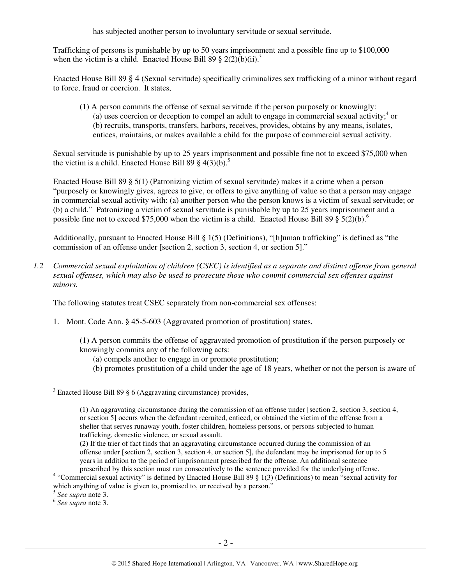has subjected another person to involuntary servitude or sexual servitude.

Trafficking of persons is punishable by up to 50 years imprisonment and a possible fine up to \$100,000 when the victim is a child. Enacted House Bill 89  $\S 2(2)(b)(ii).$ <sup>3</sup>

Enacted House Bill 89 § 4 (Sexual servitude) specifically criminalizes sex trafficking of a minor without regard to force, fraud or coercion. It states,

(1) A person commits the offense of sexual servitude if the person purposely or knowingly:  $\overline{a}$  uses coercion or deception to compel an adult to engage in commercial sexual activity;<sup>4</sup> or (b) recruits, transports, transfers, harbors, receives, provides, obtains by any means, isolates, entices, maintains, or makes available a child for the purpose of commercial sexual activity.

Sexual servitude is punishable by up to 25 years imprisonment and possible fine not to exceed \$75,000 when the victim is a child. Enacted House Bill 89  $\S$  4(3)(b).<sup>5</sup>

Enacted House Bill 89 § 5(1) (Patronizing victim of sexual servitude) makes it a crime when a person "purposely or knowingly gives, agrees to give, or offers to give anything of value so that a person may engage in commercial sexual activity with: (a) another person who the person knows is a victim of sexual servitude; or (b) a child." Patronizing a victim of sexual servitude is punishable by up to 25 years imprisonment and a possible fine not to exceed \$75,000 when the victim is a child. Enacted House Bill 89  $\S 5(2)(b)$ .<sup>6</sup>

Additionally, pursuant to Enacted House Bill § 1(5) (Definitions), "[h]uman trafficking" is defined as "the commission of an offense under [section 2, section 3, section 4, or section 5]."

*1.2 Commercial sexual exploitation of children (CSEC) is identified as a separate and distinct offense from general sexual offenses, which may also be used to prosecute those who commit commercial sex offenses against minors.* 

The following statutes treat CSEC separately from non-commercial sex offenses:

1. Mont. Code Ann. § 45-5-603 (Aggravated promotion of prostitution) states,

(1) A person commits the offense of aggravated promotion of prostitution if the person purposely or knowingly commits any of the following acts:

- (a) compels another to engage in or promote prostitution;
- (b) promotes prostitution of a child under the age of 18 years, whether or not the person is aware of

6 *See supra* note 3.

<sup>&</sup>lt;sup>3</sup> Enacted House Bill 89 § 6 (Aggravating circumstance) provides,

<sup>(1)</sup> An aggravating circumstance during the commission of an offense under [section 2, section 3, section 4, or section 5] occurs when the defendant recruited, enticed, or obtained the victim of the offense from a shelter that serves runaway youth, foster children, homeless persons, or persons subjected to human trafficking, domestic violence, or sexual assault.

<sup>(2)</sup> If the trier of fact finds that an aggravating circumstance occurred during the commission of an offense under [section 2, section 3, section 4, or section 5], the defendant may be imprisoned for up to 5 years in addition to the period of imprisonment prescribed for the offense. An additional sentence prescribed by this section must run consecutively to the sentence provided for the underlying offense.

<sup>&</sup>lt;sup>4</sup> "Commercial sexual activity" is defined by Enacted House Bill 89 § 1(3) (Definitions) to mean "sexual activity for which anything of value is given to, promised to, or received by a person."

<sup>5</sup> *See supra* note 3.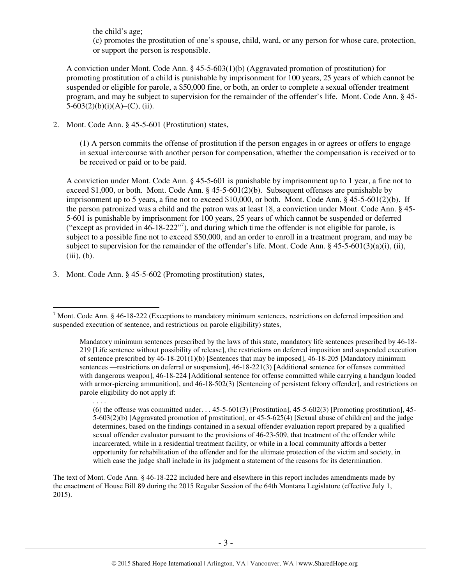the child's age;

(c) promotes the prostitution of one's spouse, child, ward, or any person for whose care, protection, or support the person is responsible.

A conviction under Mont. Code Ann. § 45-5-603(1)(b) (Aggravated promotion of prostitution) for promoting prostitution of a child is punishable by imprisonment for 100 years, 25 years of which cannot be suspended or eligible for parole, a \$50,000 fine, or both, an order to complete a sexual offender treatment program, and may be subject to supervision for the remainder of the offender's life. Mont. Code Ann. § 45-  $5-603(2)(b)(i)(A)$ –(C), (ii).

2. Mont. Code Ann. § 45-5-601 (Prostitution) states,

(1) A person commits the offense of prostitution if the person engages in or agrees or offers to engage in sexual intercourse with another person for compensation, whether the compensation is received or to be received or paid or to be paid.

A conviction under Mont. Code Ann. § 45-5-601 is punishable by imprisonment up to 1 year, a fine not to exceed \$1,000, or both. Mont. Code Ann.  $\S$  45-5-601(2)(b). Subsequent offenses are punishable by imprisonment up to 5 years, a fine not to exceed \$10,000, or both. Mont. Code Ann. § 45-5-601(2)(b). If the person patronized was a child and the patron was at least 18, a conviction under Mont. Code Ann. § 45- 5-601 is punishable by imprisonment for 100 years, 25 years of which cannot be suspended or deferred ("except as provided in  $46-18-222"$ <sup>7</sup>), and during which time the offender is not eligible for parole, is subject to a possible fine not to exceed \$50,000, and an order to enroll in a treatment program, and may be subject to supervision for the remainder of the offender's life. Mont. Code Ann.  $\S$  45-5-601(3)(a)(i), (ii),  $(iii)$ ,  $(b)$ .

3. Mont. Code Ann. § 45-5-602 (Promoting prostitution) states,

The text of Mont. Code Ann. § 46-18-222 included here and elsewhere in this report includes amendments made by the enactment of House Bill 89 during the 2015 Regular Session of the 64th Montana Legislature (effective July 1, 2015).

<sup>&</sup>lt;sup>7</sup> Mont. Code Ann. § 46-18-222 (Exceptions to mandatory minimum sentences, restrictions on deferred imposition and suspended execution of sentence, and restrictions on parole eligibility) states,

Mandatory minimum sentences prescribed by the laws of this state, mandatory life sentences prescribed by 46-18- 219 [Life sentence without possibility of release], the restrictions on deferred imposition and suspended execution of sentence prescribed by 46-18-201(1)(b) [Sentences that may be imposed], 46-18-205 [Mandatory minimum sentences —restrictions on deferral or suspension], 46-18-221(3) [Additional sentence for offenses committed with dangerous weapon], 46-18-224 [Additional sentence for offense committed while carrying a handgun loaded with armor-piercing ammunition], and 46-18-502(3) [Sentencing of persistent felony offender], and restrictions on parole eligibility do not apply if:

<sup>. . . .</sup> 

<sup>(6)</sup> the offense was committed under.  $\ldots$  45-5-601(3) [Prostitution], 45-5-602(3) [Promoting prostitution], 45-5-603(2)(b) [Aggravated promotion of prostitution], or 45-5-625(4) [Sexual abuse of children] and the judge determines, based on the findings contained in a sexual offender evaluation report prepared by a qualified sexual offender evaluator pursuant to the provisions of 46-23-509, that treatment of the offender while incarcerated, while in a residential treatment facility, or while in a local community affords a better opportunity for rehabilitation of the offender and for the ultimate protection of the victim and society, in which case the judge shall include in its judgment a statement of the reasons for its determination.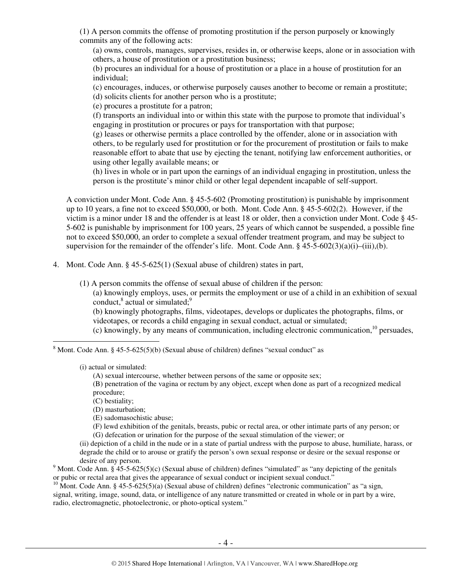(1) A person commits the offense of promoting prostitution if the person purposely or knowingly commits any of the following acts:

(a) owns, controls, manages, supervises, resides in, or otherwise keeps, alone or in association with others, a house of prostitution or a prostitution business;

(b) procures an individual for a house of prostitution or a place in a house of prostitution for an individual;

(c) encourages, induces, or otherwise purposely causes another to become or remain a prostitute;

(d) solicits clients for another person who is a prostitute;

(e) procures a prostitute for a patron;

(f) transports an individual into or within this state with the purpose to promote that individual's engaging in prostitution or procures or pays for transportation with that purpose;

(g) leases or otherwise permits a place controlled by the offender, alone or in association with others, to be regularly used for prostitution or for the procurement of prostitution or fails to make reasonable effort to abate that use by ejecting the tenant, notifying law enforcement authorities, or using other legally available means; or

(h) lives in whole or in part upon the earnings of an individual engaging in prostitution, unless the person is the prostitute's minor child or other legal dependent incapable of self-support.

A conviction under Mont. Code Ann. § 45-5-602 (Promoting prostitution) is punishable by imprisonment up to 10 years, a fine not to exceed \$50,000, or both. Mont. Code Ann. § 45-5-602(2). However, if the victim is a minor under 18 and the offender is at least 18 or older, then a conviction under Mont. Code § 45- 5-602 is punishable by imprisonment for 100 years, 25 years of which cannot be suspended, a possible fine not to exceed \$50,000, an order to complete a sexual offender treatment program, and may be subject to supervision for the remainder of the offender's life. Mont. Code Ann.  $\S$  45-5-602(3)(a)(i)–(iii),(b).

4. Mont. Code Ann. § 45-5-625(1) (Sexual abuse of children) states in part,

(1) A person commits the offense of sexual abuse of children if the person:

(a) knowingly employs, uses, or permits the employment or use of a child in an exhibition of sexual conduct, $^8$  actual or simulated; $^9$ 

(b) knowingly photographs, films, videotapes, develops or duplicates the photographs, films, or videotapes, or records a child engaging in sexual conduct, actual or simulated;

(c) knowingly, by any means of communication, including electronic communication, $^{10}$  persuades,

 $8$  Mont. Code Ann. § 45-5-625(5)(b) (Sexual abuse of children) defines "sexual conduct" as

(i) actual or simulated:

 $\overline{a}$ 

(A) sexual intercourse, whether between persons of the same or opposite sex;

(B) penetration of the vagina or rectum by any object, except when done as part of a recognized medical procedure;

(C) bestiality;

(D) masturbation;

(E) sadomasochistic abuse;

(F) lewd exhibition of the genitals, breasts, pubic or rectal area, or other intimate parts of any person; or (G) defecation or urination for the purpose of the sexual stimulation of the viewer; or

(ii) depiction of a child in the nude or in a state of partial undress with the purpose to abuse, humiliate, harass, or degrade the child or to arouse or gratify the person's own sexual response or desire or the sexual response or desire of any person.

<sup>9</sup> Mont. Code Ann. § 45-5-625(5)(c) (Sexual abuse of children) defines "simulated" as "any depicting of the genitals or pubic or rectal area that gives the appearance of sexual conduct or incipient sexual conduct."

<sup>10</sup> Mont. Code Ann. § 45-5-625(5)(a) (Sexual abuse of children) defines "electronic communication" as "a sign, signal, writing, image, sound, data, or intelligence of any nature transmitted or created in whole or in part by a wire, radio, electromagnetic, photoelectronic, or photo-optical system."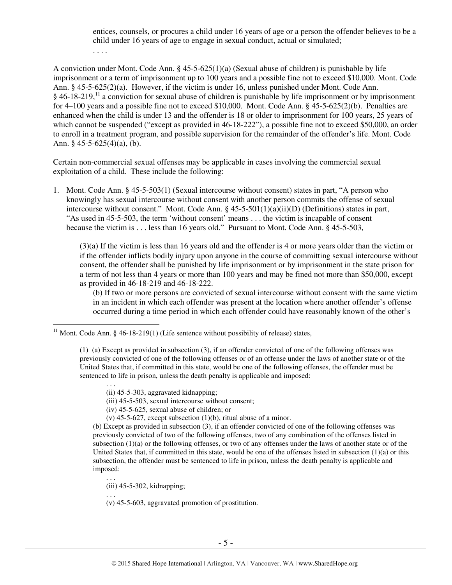entices, counsels, or procures a child under 16 years of age or a person the offender believes to be a child under 16 years of age to engage in sexual conduct, actual or simulated;

. . . .

A conviction under Mont. Code Ann. § 45-5-625(1)(a) (Sexual abuse of children) is punishable by life imprisonment or a term of imprisonment up to 100 years and a possible fine not to exceed \$10,000. Mont. Code Ann. § 45-5-625(2)(a). However, if the victim is under 16, unless punished under Mont. Code Ann.  $§$  46-18-219,<sup>11</sup> a conviction for sexual abuse of children is punishable by life imprisonment or by imprisonment for 4–100 years and a possible fine not to exceed \$10,000. Mont. Code Ann. § 45-5-625(2)(b). Penalties are enhanced when the child is under 13 and the offender is 18 or older to imprisonment for 100 years, 25 years of which cannot be suspended ("except as provided in 46-18-222"), a possible fine not to exceed \$50,000, an order to enroll in a treatment program, and possible supervision for the remainder of the offender's life. Mont. Code Ann. §  $45-5-625(4)(a)$ , (b).

Certain non-commercial sexual offenses may be applicable in cases involving the commercial sexual exploitation of a child. These include the following:

1. Mont. Code Ann. § 45-5-503(1) (Sexual intercourse without consent) states in part, "A person who knowingly has sexual intercourse without consent with another person commits the offense of sexual intercourse without consent." Mont. Code Ann. § 45-5-501(1)(a)(ii)(D) (Definitions) states in part, "As used in 45-5-503, the term 'without consent' means . . . the victim is incapable of consent because the victim is . . . less than 16 years old." Pursuant to Mont. Code Ann. § 45-5-503,

(3)(a) If the victim is less than 16 years old and the offender is 4 or more years older than the victim or if the offender inflicts bodily injury upon anyone in the course of committing sexual intercourse without consent, the offender shall be punished by life imprisonment or by imprisonment in the state prison for a term of not less than 4 years or more than 100 years and may be fined not more than \$50,000, except as provided in 46-18-219 and 46-18-222.

(b) If two or more persons are convicted of sexual intercourse without consent with the same victim in an incident in which each offender was present at the location where another offender's offense occurred during a time period in which each offender could have reasonably known of the other's

(1) (a) Except as provided in subsection (3), if an offender convicted of one of the following offenses was previously convicted of one of the following offenses or of an offense under the laws of another state or of the United States that, if committed in this state, would be one of the following offenses, the offender must be sentenced to life in prison, unless the death penalty is applicable and imposed:

(iii) 45-5-503, sexual intercourse without consent;

- (iv) 45-5-625, sexual abuse of children; or
- (v)  $45-5-627$ , except subsection  $(1)(b)$ , ritual abuse of a minor.

(b) Except as provided in subsection (3), if an offender convicted of one of the following offenses was previously convicted of two of the following offenses, two of any combination of the offenses listed in subsection (1)(a) or the following offenses, or two of any offenses under the laws of another state or of the United States that, if committed in this state, would be one of the offenses listed in subsection  $(1)(a)$  or this subsection, the offender must be sentenced to life in prison, unless the death penalty is applicable and imposed:

(iii) 45-5-302, kidnapping;

. . .

 $\overline{a}$ 

(v) 45-5-603, aggravated promotion of prostitution.

 $11$  Mont. Code Ann. § 46-18-219(1) (Life sentence without possibility of release) states,

<sup>. . .</sup>  (ii) 45-5-303, aggravated kidnapping;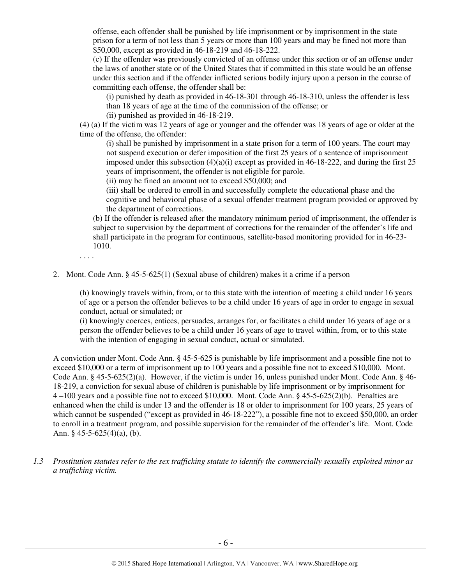offense, each offender shall be punished by life imprisonment or by imprisonment in the state prison for a term of not less than 5 years or more than 100 years and may be fined not more than \$50,000, except as provided in 46-18-219 and 46-18-222.

(c) If the offender was previously convicted of an offense under this section or of an offense under the laws of another state or of the United States that if committed in this state would be an offense under this section and if the offender inflicted serious bodily injury upon a person in the course of committing each offense, the offender shall be:

(i) punished by death as provided in 46-18-301 through 46-18-310, unless the offender is less than 18 years of age at the time of the commission of the offense; or

(ii) punished as provided in 46-18-219.

(4) (a) If the victim was 12 years of age or younger and the offender was 18 years of age or older at the time of the offense, the offender:

(i) shall be punished by imprisonment in a state prison for a term of 100 years. The court may not suspend execution or defer imposition of the first 25 years of a sentence of imprisonment imposed under this subsection  $(4)(a)(i)$  except as provided in 46-18-222, and during the first 25 years of imprisonment, the offender is not eligible for parole.

(ii) may be fined an amount not to exceed \$50,000; and

(iii) shall be ordered to enroll in and successfully complete the educational phase and the cognitive and behavioral phase of a sexual offender treatment program provided or approved by the department of corrections.

(b) If the offender is released after the mandatory minimum period of imprisonment, the offender is subject to supervision by the department of corrections for the remainder of the offender's life and shall participate in the program for continuous, satellite-based monitoring provided for in 46-23- 1010.

. . . .

2. Mont. Code Ann. § 45-5-625(1) (Sexual abuse of children) makes it a crime if a person

(h) knowingly travels within, from, or to this state with the intention of meeting a child under 16 years of age or a person the offender believes to be a child under 16 years of age in order to engage in sexual conduct, actual or simulated; or

(i) knowingly coerces, entices, persuades, arranges for, or facilitates a child under 16 years of age or a person the offender believes to be a child under 16 years of age to travel within, from, or to this state with the intention of engaging in sexual conduct, actual or simulated.

A conviction under Mont. Code Ann. § 45-5-625 is punishable by life imprisonment and a possible fine not to exceed \$10,000 or a term of imprisonment up to 100 years and a possible fine not to exceed \$10,000. Mont. Code Ann. § 45-5-625(2)(a). However, if the victim is under 16, unless punished under Mont. Code Ann. § 46- 18-219, a conviction for sexual abuse of children is punishable by life imprisonment or by imprisonment for 4 –100 years and a possible fine not to exceed \$10,000. Mont. Code Ann. § 45-5-625(2)(b). Penalties are enhanced when the child is under 13 and the offender is 18 or older to imprisonment for 100 years, 25 years of which cannot be suspended ("except as provided in 46-18-222"), a possible fine not to exceed \$50,000, an order to enroll in a treatment program, and possible supervision for the remainder of the offender's life. Mont. Code Ann. § 45-5-625(4)(a), (b).

*1.3 Prostitution statutes refer to the sex trafficking statute to identify the commercially sexually exploited minor as a trafficking victim.*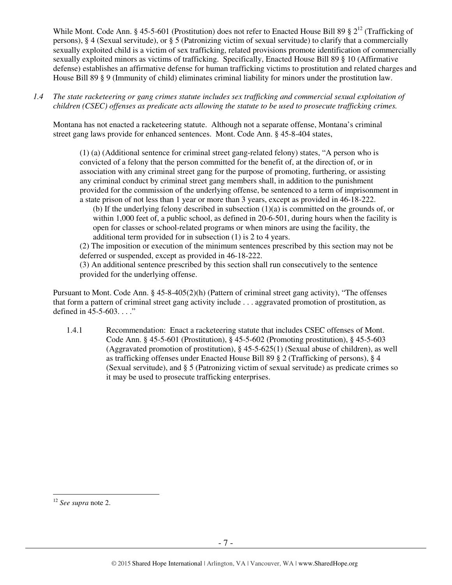While Mont. Code Ann. § 45-5-601 (Prostitution) does not refer to Enacted House Bill 89 §  $2^{12}$  (Trafficking of persons), § 4 (Sexual servitude), or § 5 (Patronizing victim of sexual servitude) to clarify that a commercially sexually exploited child is a victim of sex trafficking, related provisions promote identification of commercially sexually exploited minors as victims of trafficking. Specifically, Enacted House Bill 89 § 10 (Affirmative defense) establishes an affirmative defense for human trafficking victims to prostitution and related charges and House Bill 89 § 9 (Immunity of child) eliminates criminal liability for minors under the prostitution law.

*1.4 The state racketeering or gang crimes statute includes sex trafficking and commercial sexual exploitation of children (CSEC) offenses as predicate acts allowing the statute to be used to prosecute trafficking crimes.* 

Montana has not enacted a racketeering statute. Although not a separate offense, Montana's criminal street gang laws provide for enhanced sentences. Mont. Code Ann. § 45-8-404 states,

(1) (a) (Additional sentence for criminal street gang-related felony) states, "A person who is convicted of a felony that the person committed for the benefit of, at the direction of, or in association with any criminal street gang for the purpose of promoting, furthering, or assisting any criminal conduct by criminal street gang members shall, in addition to the punishment provided for the commission of the underlying offense, be sentenced to a term of imprisonment in a state prison of not less than 1 year or more than 3 years, except as provided in 46-18-222.

(b) If the underlying felony described in subsection (1)(a) is committed on the grounds of, or within 1,000 feet of, a public school, as defined in 20-6-501, during hours when the facility is open for classes or school-related programs or when minors are using the facility, the additional term provided for in subsection (1) is 2 to 4 years.

(2) The imposition or execution of the minimum sentences prescribed by this section may not be deferred or suspended, except as provided in 46-18-222.

(3) An additional sentence prescribed by this section shall run consecutively to the sentence provided for the underlying offense.

Pursuant to Mont. Code Ann. § 45-8-405(2)(h) (Pattern of criminal street gang activity), "The offenses that form a pattern of criminal street gang activity include . . . aggravated promotion of prostitution, as defined in 45-5-603. . . ."

1.4.1 Recommendation: Enact a racketeering statute that includes CSEC offenses of Mont. Code Ann. § 45-5-601 (Prostitution), § 45-5-602 (Promoting prostitution), § 45-5-603 (Aggravated promotion of prostitution), § 45-5-625(1) (Sexual abuse of children), as well as trafficking offenses under Enacted House Bill 89 § 2 (Trafficking of persons), § 4 (Sexual servitude), and § 5 (Patronizing victim of sexual servitude) as predicate crimes so it may be used to prosecute trafficking enterprises.

<sup>12</sup> *See supra* note 2.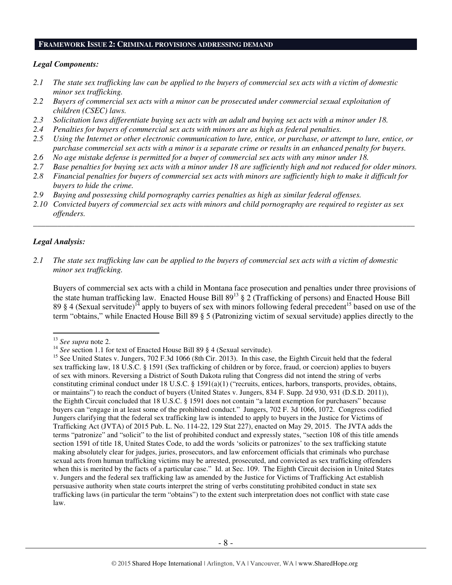## **FRAMEWORK ISSUE 2: CRIMINAL PROVISIONS ADDRESSING DEMAND**

#### *Legal Components:*

- *2.1 The state sex trafficking law can be applied to the buyers of commercial sex acts with a victim of domestic minor sex trafficking.*
- *2.2 Buyers of commercial sex acts with a minor can be prosecuted under commercial sexual exploitation of children (CSEC) laws.*
- *2.3 Solicitation laws differentiate buying sex acts with an adult and buying sex acts with a minor under 18.*
- *2.4 Penalties for buyers of commercial sex acts with minors are as high as federal penalties.*
- *2.5 Using the Internet or other electronic communication to lure, entice, or purchase, or attempt to lure, entice, or purchase commercial sex acts with a minor is a separate crime or results in an enhanced penalty for buyers.*
- *2.6 No age mistake defense is permitted for a buyer of commercial sex acts with any minor under 18.*
- *2.7 Base penalties for buying sex acts with a minor under 18 are sufficiently high and not reduced for older minors.*
- *2.8 Financial penalties for buyers of commercial sex acts with minors are sufficiently high to make it difficult for buyers to hide the crime.*
- *2.9 Buying and possessing child pornography carries penalties as high as similar federal offenses.*
- *2.10 Convicted buyers of commercial sex acts with minors and child pornography are required to register as sex offenders.*

\_\_\_\_\_\_\_\_\_\_\_\_\_\_\_\_\_\_\_\_\_\_\_\_\_\_\_\_\_\_\_\_\_\_\_\_\_\_\_\_\_\_\_\_\_\_\_\_\_\_\_\_\_\_\_\_\_\_\_\_\_\_\_\_\_\_\_\_\_\_\_\_\_\_\_\_\_\_\_\_\_\_\_\_\_\_\_\_\_\_\_\_\_\_

## *Legal Analysis:*

 $\overline{a}$ 

*2.1 The state sex trafficking law can be applied to the buyers of commercial sex acts with a victim of domestic minor sex trafficking.* 

Buyers of commercial sex acts with a child in Montana face prosecution and penalties under three provisions of the state human trafficking law. Enacted House Bill  $89^{13}$   $\frac{8}{9}$  2 (Trafficking of persons) and Enacted House Bill 89 § 4 (Sexual servitude)<sup>14</sup> apply to buyers of sex with minors following federal precedent<sup>15</sup> based on use of the term "obtains," while Enacted House Bill 89 § 5 (Patronizing victim of sexual servitude) applies directly to the

<sup>13</sup> *See supra* note 2.

<sup>&</sup>lt;sup>14</sup> *See* section 1.1 for text of Enacted House Bill 89 § 4 (Sexual servitude).

<sup>&</sup>lt;sup>15</sup> See United States v. Jungers, 702 F.3d 1066 (8th Cir. 2013). In this case, the Eighth Circuit held that the federal sex trafficking law, 18 U.S.C. § 1591 (Sex trafficking of children or by force, fraud, or coercion) applies to buyers of sex with minors. Reversing a District of South Dakota ruling that Congress did not intend the string of verbs constituting criminal conduct under 18 U.S.C. § 1591(a)(1) ("recruits, entices, harbors, transports, provides, obtains, or maintains") to reach the conduct of buyers (United States v. Jungers, 834 F. Supp. 2d 930, 931 (D.S.D. 2011)), the Eighth Circuit concluded that 18 U.S.C. § 1591 does not contain "a latent exemption for purchasers" because buyers can "engage in at least some of the prohibited conduct." Jungers, 702 F. 3d 1066, 1072. Congress codified Jungers clarifying that the federal sex trafficking law is intended to apply to buyers in the Justice for Victims of Trafficking Act (JVTA) of 2015 Pub. L. No. 114-22, 129 Stat 227), enacted on May 29, 2015. The JVTA adds the terms "patronize" and "solicit" to the list of prohibited conduct and expressly states, "section 108 of this title amends section 1591 of title 18, United States Code, to add the words 'solicits or patronizes' to the sex trafficking statute making absolutely clear for judges, juries, prosecutors, and law enforcement officials that criminals who purchase sexual acts from human trafficking victims may be arrested, prosecuted, and convicted as sex trafficking offenders when this is merited by the facts of a particular case." Id. at Sec. 109. The Eighth Circuit decision in United States v. Jungers and the federal sex trafficking law as amended by the Justice for Victims of Trafficking Act establish persuasive authority when state courts interpret the string of verbs constituting prohibited conduct in state sex trafficking laws (in particular the term "obtains") to the extent such interpretation does not conflict with state case law.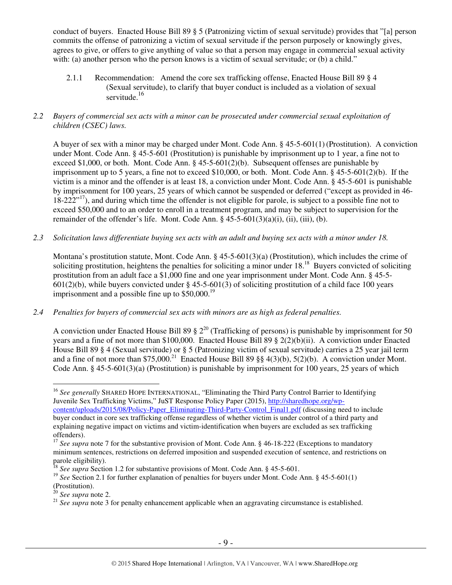conduct of buyers. Enacted House Bill 89 § 5 (Patronizing victim of sexual servitude) provides that "[a] person commits the offense of patronizing a victim of sexual servitude if the person purposely or knowingly gives, agrees to give, or offers to give anything of value so that a person may engage in commercial sexual activity with: (a) another person who the person knows is a victim of sexual servitude; or (b) a child."

- 2.1.1 Recommendation: Amend the core sex trafficking offense, Enacted House Bill 89 § 4 (Sexual servitude), to clarify that buyer conduct is included as a violation of sexual servitude. $16$
- *2.2 Buyers of commercial sex acts with a minor can be prosecuted under commercial sexual exploitation of children (CSEC) laws.*

A buyer of sex with a minor may be charged under Mont. Code Ann. § 45-5-601(1) (Prostitution). A conviction under Mont. Code Ann. § 45-5-601 (Prostitution) is punishable by imprisonment up to 1 year, a fine not to exceed \$1,000, or both. Mont. Code Ann.  $\S$  45-5-601(2)(b). Subsequent offenses are punishable by imprisonment up to 5 years, a fine not to exceed \$10,000, or both. Mont. Code Ann. § 45-5-601(2)(b). If the victim is a minor and the offender is at least 18, a conviction under Mont. Code Ann. § 45-5-601 is punishable by imprisonment for 100 years, 25 years of which cannot be suspended or deferred ("except as provided in 46-  $18-222^{17}$ , and during which time the offender is not eligible for parole, is subject to a possible fine not to exceed \$50,000 and to an order to enroll in a treatment program, and may be subject to supervision for the remainder of the offender's life. Mont. Code Ann.  $\S$  45-5-601(3)(a)(i), (ii), (iii), (b).

*2.3 Solicitation laws differentiate buying sex acts with an adult and buying sex acts with a minor under 18.* 

Montana's prostitution statute, Mont. Code Ann. § 45-5-601(3)(a) (Prostitution), which includes the crime of soliciting prostitution, heightens the penalties for soliciting a minor under  $18<sup>18</sup>$  Buyers convicted of soliciting prostitution from an adult face a \$1,000 fine and one year imprisonment under Mont. Code Ann. § 45-5-  $601(2)(b)$ , while buyers convicted under § 45-5-601(3) of soliciting prostitution of a child face 100 years imprisonment and a possible fine up to  $$50,000.<sup>19</sup>$ 

*2.4 Penalties for buyers of commercial sex acts with minors are as high as federal penalties.* 

A conviction under Enacted House Bill 89  $\S 2^{20}$  (Trafficking of persons) is punishable by imprisonment for 50 years and a fine of not more than \$100,000. Enacted House Bill 89 § 2(2)(b)(ii). A conviction under Enacted House Bill 89 § 4 (Sexual servitude) or § 5 (Patronizing victim of sexual servitude) carries a 25 year jail term and a fine of not more than \$75,000.<sup>21</sup> Enacted House Bill 89 §§ 4(3)(b), 5(2)(b). A conviction under Mont. Code Ann. § 45-5-601(3)(a) (Prostitution) is punishable by imprisonment for 100 years, 25 years of which

<sup>20</sup> *See supra* note 2.

<sup>&</sup>lt;sup>16</sup> See generally SHARED HOPE INTERNATIONAL, "Eliminating the Third Party Control Barrier to Identifying Juvenile Sex Trafficking Victims," JuST Response Policy Paper (2015), http://sharedhope.org/wpcontent/uploads/2015/08/Policy-Paper\_Eliminating-Third-Party-Control\_Final1.pdf (discussing need to include buyer conduct in core sex trafficking offense regardless of whether victim is under control of a third party and explaining negative impact on victims and victim-identification when buyers are excluded as sex trafficking offenders).

<sup>&</sup>lt;sup>17</sup> *See supra* note 7 for the substantive provision of Mont. Code Ann. § 46-18-222 (Exceptions to mandatory minimum sentences, restrictions on deferred imposition and suspended execution of sentence, and restrictions on parole eligibility).

<sup>18</sup> *See supra* Section 1.2 for substantive provisions of Mont. Code Ann. § 45-5-601.

<sup>&</sup>lt;sup>19</sup> See Section 2.1 for further explanation of penalties for buyers under Mont. Code Ann. § 45-5-601(1) (Prostitution).

<sup>&</sup>lt;sup>21</sup> See supra note 3 for penalty enhancement applicable when an aggravating circumstance is established.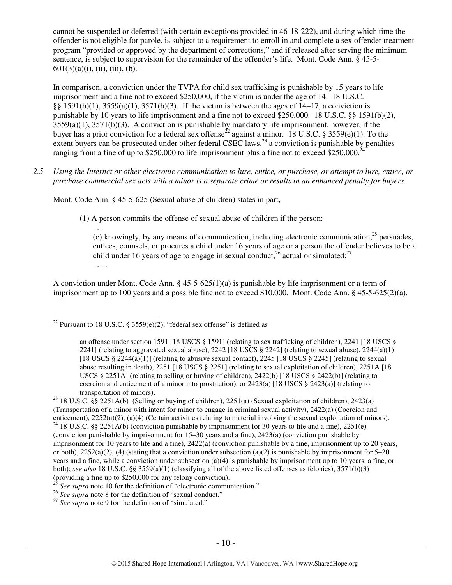cannot be suspended or deferred (with certain exceptions provided in 46-18-222), and during which time the offender is not eligible for parole, is subject to a requirement to enroll in and complete a sex offender treatment program "provided or approved by the department of corrections," and if released after serving the minimum sentence, is subject to supervision for the remainder of the offender's life. Mont. Code Ann. § 45-5-  $601(3)(a)(i)$ , (ii), (iii), (b).

In comparison, a conviction under the TVPA for child sex trafficking is punishable by 15 years to life imprisonment and a fine not to exceed \$250,000, if the victim is under the age of 14. 18 U.S.C. §§ 1591(b)(1), 3559(a)(1), 3571(b)(3). If the victim is between the ages of 14–17, a conviction is punishable by 10 years to life imprisonment and a fine not to exceed \$250,000. 18 U.S.C. §§ 1591(b)(2), 3559(a)(1), 3571(b)(3). A conviction is punishable by mandatory life imprisonment, however, if the buyer has a prior conviction for a federal sex offense<sup>22</sup> against a minor. 18 U.S.C. § 3559(e)(1). To the extent buyers can be prosecuted under other federal CSEC laws, $^{23}$  a conviction is punishable by penalties ranging from a fine of up to \$250,000 to life imprisonment plus a fine not to exceed \$250,000.<sup>24</sup>

*2.5 Using the Internet or other electronic communication to lure, entice, or purchase, or attempt to lure, entice, or purchase commercial sex acts with a minor is a separate crime or results in an enhanced penalty for buyers.* 

Mont. Code Ann. § 45-5-625 (Sexual abuse of children) states in part,

(1) A person commits the offense of sexual abuse of children if the person:

. . . (c) knowingly, by any means of communication, including electronic communication, $^{25}$  persuades, entices, counsels, or procures a child under 16 years of age or a person the offender believes to be a child under 16 years of age to engage in sexual conduct,  $^{26}$  actual or simulated; $^{27}$ . . . .

A conviction under Mont. Code Ann. § 45-5-625(1)(a) is punishable by life imprisonment or a term of imprisonment up to 100 years and a possible fine not to exceed \$10,000. Mont. Code Ann. § 45-5-625(2)(a).

 $\overline{a}$ <sup>22</sup> Pursuant to 18 U.S.C. § 3559 $(e)(2)$ , "federal sex offense" is defined as

an offense under section 1591 [18 USCS § 1591] (relating to sex trafficking of children), 2241 [18 USCS § 2241] (relating to aggravated sexual abuse), 2242 [18 USCS  $\S$  2242] (relating to sexual abuse), 2244(a)(1) [18 USCS  $\S$  2244(a)(1)] (relating to abusive sexual contact), 2245 [18 USCS  $\S$  2245] (relating to sexual abuse resulting in death), 2251 [18 USCS § 2251] (relating to sexual exploitation of children), 2251A [18 USCS § 2251A] (relating to selling or buying of children), 2422(b) [18 USCS § 2422(b)] (relating to coercion and enticement of a minor into prostitution), or  $2423(a)$  [18 USCS § 2423(a)] (relating to transportation of minors).

<sup>&</sup>lt;sup>23</sup> 18 U.S.C. §§ 2251A(b) (Selling or buying of children), 2251(a) (Sexual exploitation of children), 2423(a) (Transportation of a minor with intent for minor to engage in criminal sexual activity), 2422(a) (Coercion and enticement), 2252(a)(2), (a)(4) (Certain activities relating to material involving the sexual exploitation of minors).

<sup>&</sup>lt;sup>24</sup> 18 U.S.C. §§ 2251A(b) (conviction punishable by imprisonment for 30 years to life and a fine), 2251(e) (conviction punishable by imprisonment for 15–30 years and a fine), 2423(a) (conviction punishable by imprisonment for 10 years to life and a fine), 2422(a) (conviction punishable by a fine, imprisonment up to 20 years, or both),  $2252(a)(2)$ , (4) (stating that a conviction under subsection (a)(2) is punishable by imprisonment for 5–20 years and a fine, while a conviction under subsection (a)(4) is punishable by imprisonment up to 10 years, a fine, or both); *see also* 18 U.S.C. §§ 3559(a)(1) (classifying all of the above listed offenses as felonies), 3571(b)(3) (providing a fine up to \$250,000 for any felony conviction).

<sup>&</sup>lt;sup>25</sup> See supra note 10 for the definition of "electronic communication."

<sup>&</sup>lt;sup>26</sup> See supra note 8 for the definition of "sexual conduct."

<sup>&</sup>lt;sup>27</sup> See supra note 9 for the definition of "simulated."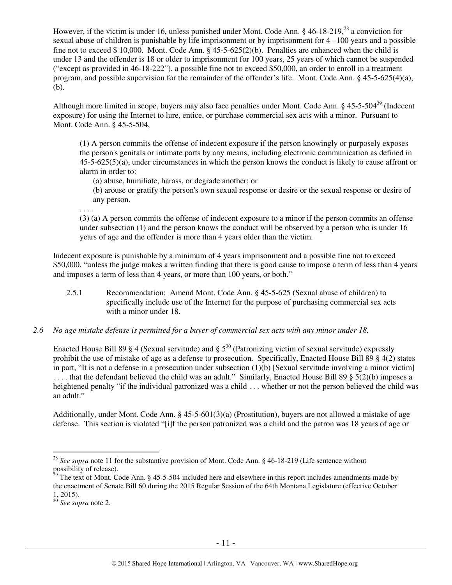However, if the victim is under 16, unless punished under Mont. Code Ann.  $\S$  46-18-219<sup>28</sup> a conviction for sexual abuse of children is punishable by life imprisonment or by imprisonment for 4 –100 years and a possible fine not to exceed \$ 10,000. Mont. Code Ann. § 45-5-625(2)(b). Penalties are enhanced when the child is under 13 and the offender is 18 or older to imprisonment for 100 years, 25 years of which cannot be suspended ("except as provided in 46-18-222"), a possible fine not to exceed \$50,000, an order to enroll in a treatment program, and possible supervision for the remainder of the offender's life. Mont. Code Ann. § 45-5-625(4)(a), (b).

Although more limited in scope, buyers may also face penalties under Mont. Code Ann. § 45-5-504<sup>29</sup> (Indecent exposure) for using the Internet to lure, entice, or purchase commercial sex acts with a minor. Pursuant to Mont. Code Ann. § 45-5-504,

(1) A person commits the offense of indecent exposure if the person knowingly or purposely exposes the person's genitals or intimate parts by any means, including electronic communication as defined in 45-5-625(5)(a), under circumstances in which the person knows the conduct is likely to cause affront or alarm in order to:

- (a) abuse, humiliate, harass, or degrade another; or
- (b) arouse or gratify the person's own sexual response or desire or the sexual response or desire of any person.

. . . .

(3) (a) A person commits the offense of indecent exposure to a minor if the person commits an offense under subsection (1) and the person knows the conduct will be observed by a person who is under 16 years of age and the offender is more than 4 years older than the victim.

Indecent exposure is punishable by a minimum of 4 years imprisonment and a possible fine not to exceed \$50,000, "unless the judge makes a written finding that there is good cause to impose a term of less than 4 years and imposes a term of less than 4 years, or more than 100 years, or both."

- 2.5.1 Recommendation: Amend Mont. Code Ann. § 45-5-625 (Sexual abuse of children) to specifically include use of the Internet for the purpose of purchasing commercial sex acts with a minor under 18.
- *2.6 No age mistake defense is permitted for a buyer of commercial sex acts with any minor under 18.*

Enacted House Bill 89 § 4 (Sexual servitude) and §  $5^{30}$  (Patronizing victim of sexual servitude) expressly prohibit the use of mistake of age as a defense to prosecution. Specifically, Enacted House Bill 89 § 4(2) states in part, "It is not a defense in a prosecution under subsection (1)(b) [Sexual servitude involving a minor victim] .... that the defendant believed the child was an adult." Similarly, Enacted House Bill 89 § 5(2)(b) imposes a heightened penalty "if the individual patronized was a child . . . whether or not the person believed the child was an adult."

Additionally, under Mont. Code Ann. § 45-5-601(3)(a) (Prostitution), buyers are not allowed a mistake of age defense. This section is violated "[i]f the person patronized was a child and the patron was 18 years of age or

<sup>28</sup> *See supra* note 11 for the substantive provision of Mont. Code Ann. § 46-18-219 (Life sentence without possibility of release).

 $29$  The text of Mont. Code Ann. § 45-5-504 included here and elsewhere in this report includes amendments made by the enactment of Senate Bill 60 during the 2015 Regular Session of the 64th Montana Legislature (effective October 1, 2015).

<sup>30</sup> *See supra* note 2.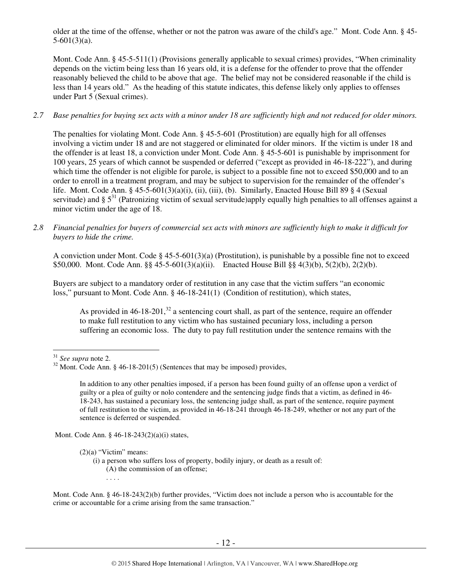older at the time of the offense, whether or not the patron was aware of the child's age." Mont. Code Ann. § 45-  $5-601(3)(a)$ .

Mont. Code Ann. § 45-5-511(1) (Provisions generally applicable to sexual crimes) provides, "When criminality depends on the victim being less than 16 years old, it is a defense for the offender to prove that the offender reasonably believed the child to be above that age. The belief may not be considered reasonable if the child is less than 14 years old." As the heading of this statute indicates, this defense likely only applies to offenses under Part 5 (Sexual crimes).

## *2.7 Base penalties for buying sex acts with a minor under 18 are sufficiently high and not reduced for older minors.*

The penalties for violating Mont. Code Ann. § 45-5-601 (Prostitution) are equally high for all offenses involving a victim under 18 and are not staggered or eliminated for older minors. If the victim is under 18 and the offender is at least 18, a conviction under Mont. Code Ann. § 45-5-601 is punishable by imprisonment for 100 years, 25 years of which cannot be suspended or deferred ("except as provided in 46-18-222"), and during which time the offender is not eligible for parole, is subject to a possible fine not to exceed \$50,000 and to an order to enroll in a treatment program, and may be subject to supervision for the remainder of the offender's life. Mont. Code Ann. §  $45-5-601(3)(a)(i)$ , (ii), (iii), (b). Similarly, Enacted House Bill 89 § 4 (Sexual servitude) and  $\S 5^{31}$  (Patronizing victim of sexual servitude)apply equally high penalties to all offenses against a minor victim under the age of 18.

*2.8 Financial penalties for buyers of commercial sex acts with minors are sufficiently high to make it difficult for buyers to hide the crime.* 

A conviction under Mont. Code § 45-5-601(3)(a) (Prostitution), is punishable by a possible fine not to exceed \$50,000. Mont. Code Ann. §§ 45-5-601(3)(a)(ii). Enacted House Bill §§ 4(3)(b), 5(2)(b), 2(2)(b).

Buyers are subject to a mandatory order of restitution in any case that the victim suffers "an economic loss," pursuant to Mont. Code Ann. § 46-18-241(1) (Condition of restitution), which states,

As provided in  $46-18-201$ ,<sup>32</sup> a sentencing court shall, as part of the sentence, require an offender to make full restitution to any victim who has sustained pecuniary loss, including a person suffering an economic loss. The duty to pay full restitution under the sentence remains with the

Mont. Code Ann. § 46-18-243(2)(a)(i) states,

(i) a person who suffers loss of property, bodily injury, or death as a result of: (A) the commission of an offense;

Mont. Code Ann. § 46-18-243(2)(b) further provides, "Victim does not include a person who is accountable for the crime or accountable for a crime arising from the same transaction."

 $\overline{a}$ <sup>31</sup> *See supra* note 2.

 $32$  Mont. Code Ann. § 46-18-201(5) (Sentences that may be imposed) provides,

In addition to any other penalties imposed, if a person has been found guilty of an offense upon a verdict of guilty or a plea of guilty or nolo contendere and the sentencing judge finds that a victim, as defined in 46- 18-243, has sustained a pecuniary loss, the sentencing judge shall, as part of the sentence, require payment of full restitution to the victim, as provided in 46-18-241 through 46-18-249, whether or not any part of the sentence is deferred or suspended.

 $(2)(a)$  "Victim" means: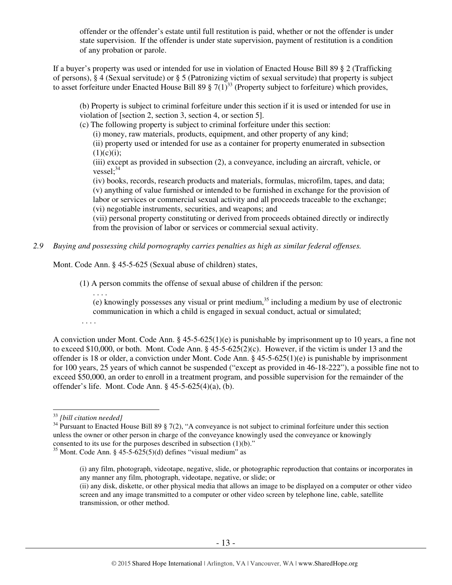offender or the offender's estate until full restitution is paid, whether or not the offender is under state supervision. If the offender is under state supervision, payment of restitution is a condition of any probation or parole.

If a buyer's property was used or intended for use in violation of Enacted House Bill 89 § 2 (Trafficking of persons), § 4 (Sexual servitude) or § 5 (Patronizing victim of sexual servitude) that property is subject to asset forfeiture under Enacted House Bill 89  $\S 7(1)^{33}$  (Property subject to forfeiture) which provides,

(b) Property is subject to criminal forfeiture under this section if it is used or intended for use in violation of [section 2, section 3, section 4, or section 5].

(c) The following property is subject to criminal forfeiture under this section:

(i) money, raw materials, products, equipment, and other property of any kind;

(ii) property used or intended for use as a container for property enumerated in subsection  $(1)(c)(i)$ ;

(iii) except as provided in subsection (2), a conveyance, including an aircraft, vehicle, or vessel; $34$ 

(iv) books, records, research products and materials, formulas, microfilm, tapes, and data; (v) anything of value furnished or intended to be furnished in exchange for the provision of labor or services or commercial sexual activity and all proceeds traceable to the exchange; (vi) negotiable instruments, securities, and weapons; and

(vii) personal property constituting or derived from proceeds obtained directly or indirectly from the provision of labor or services or commercial sexual activity.

*2.9 Buying and possessing child pornography carries penalties as high as similar federal offenses.* 

Mont. Code Ann. § 45-5-625 (Sexual abuse of children) states,

(1) A person commits the offense of sexual abuse of children if the person:

. . . .

(e) knowingly possesses any visual or print medium, $35$  including a medium by use of electronic communication in which a child is engaged in sexual conduct, actual or simulated;

. . . .

A conviction under Mont. Code Ann. § 45-5-625(1)(e) is punishable by imprisonment up to 10 years, a fine not to exceed \$10,000, or both. Mont. Code Ann. § 45-5-625(2)(c). However, if the victim is under 13 and the offender is 18 or older, a conviction under Mont. Code Ann.  $\S$  45-5-625(1)(e) is punishable by imprisonment for 100 years, 25 years of which cannot be suspended ("except as provided in 46-18-222"), a possible fine not to exceed \$50,000, an order to enroll in a treatment program, and possible supervision for the remainder of the offender's life. Mont. Code Ann. § 45-5-625(4)(a), (b).

<sup>33</sup> *[bill citation needed]*

 $34$  Pursuant to Enacted House Bill 89 § 7(2), "A conveyance is not subject to criminal forfeiture under this section unless the owner or other person in charge of the conveyance knowingly used the conveyance or knowingly consented to its use for the purposes described in subsection (1)(b)."

<sup>&</sup>lt;sup>35</sup> Mont. Code Ann. §  $45 - 5 - 625(5)(d)$  defines "visual medium" as

<sup>(</sup>i) any film, photograph, videotape, negative, slide, or photographic reproduction that contains or incorporates in any manner any film, photograph, videotape, negative, or slide; or

<sup>(</sup>ii) any disk, diskette, or other physical media that allows an image to be displayed on a computer or other video screen and any image transmitted to a computer or other video screen by telephone line, cable, satellite transmission, or other method.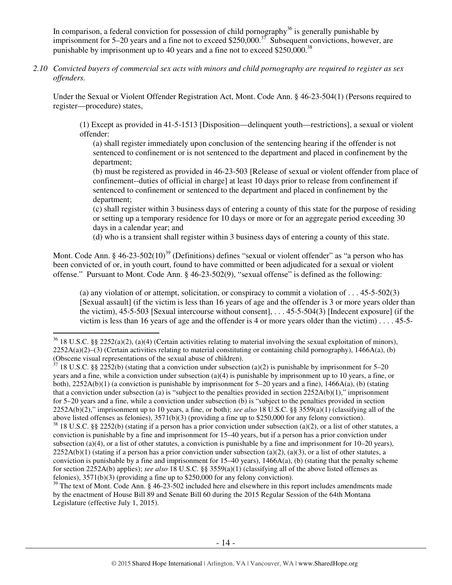In comparison, a federal conviction for possession of child pornography<sup>36</sup> is generally punishable by imprisonment for  $5-20$  years and a fine not to exceed \$250,000.<sup>37</sup> Subsequent convictions, however, are punishable by imprisonment up to 40 years and a fine not to exceed \$250,000.<sup>38</sup>

*2.10 Convicted buyers of commercial sex acts with minors and child pornography are required to register as sex offenders.* 

Under the Sexual or Violent Offender Registration Act, Mont. Code Ann. § 46-23-504(1) (Persons required to register—procedure) states,

(1) Except as provided in 41-5-1513 [Disposition—delinquent youth—restrictions], a sexual or violent offender:

(a) shall register immediately upon conclusion of the sentencing hearing if the offender is not sentenced to confinement or is not sentenced to the department and placed in confinement by the department;

(b) must be registered as provided in 46-23-503 [Release of sexual or violent offender from place of confinement--duties of official in charge] at least 10 days prior to release from confinement if sentenced to confinement or sentenced to the department and placed in confinement by the department;

(c) shall register within 3 business days of entering a county of this state for the purpose of residing or setting up a temporary residence for 10 days or more or for an aggregate period exceeding 30 days in a calendar year; and

(d) who is a transient shall register within 3 business days of entering a county of this state.

Mont. Code Ann. § 46-23-502(10)<sup>39</sup> (Definitions) defines "sexual or violent offender" as "a person who has been convicted of or, in youth court, found to have committed or been adjudicated for a sexual or violent offense." Pursuant to Mont. Code Ann. § 46-23-502(9), "sexual offense" is defined as the following:

(a) any violation of or attempt, solicitation, or conspiracy to commit a violation of  $\dots$  45-5-502(3) [Sexual assault] (if the victim is less than 16 years of age and the offender is 3 or more years older than the victim), 45-5-503 [Sexual intercourse without consent], . . . 45-5-504(3) [Indecent exposure] (if the victim is less than 16 years of age and the offender is 4 or more years older than the victim)...  $45-5-$ 

 $\overline{a}$ 

 $37$  18 U.S.C. §§ 2252(b) (stating that a conviction under subsection (a)(2) is punishable by imprisonment for 5–20 years and a fine, while a conviction under subsection (a)(4) is punishable by imprisonment up to 10 years, a fine, or both),  $2252A(b)(1)$  (a conviction is punishable by imprisonment for 5–20 years and a fine),  $1466A(a)$ , (b) (stating that a conviction under subsection (a) is "subject to the penalties provided in section  $2252A(b)(1)$ ," imprisonment for 5–20 years and a fine, while a conviction under subsection (b) is "subject to the penalties provided in section 2252A(b)(2)," imprisonment up to 10 years, a fine, or both); *see also* 18 U.S.C. §§ 3559(a)(1) (classifying all of the above listed offenses as felonies), 3571(b)(3) (providing a fine up to \$250,000 for any felony conviction).

<sup>39</sup> The text of Mont. Code Ann. § 46-23-502 included here and elsewhere in this report includes amendments made by the enactment of House Bill 89 and Senate Bill 60 during the 2015 Regular Session of the 64th Montana Legislature (effective July 1, 2015).

 $36$  18 U.S.C. §§ 2252(a)(2), (a)(4) (Certain activities relating to material involving the sexual exploitation of minors),  $2252A(a)(2)$ –(3) (Certain activities relating to material constituting or containing child pornography), 1466A(a), (b) (Obscene visual representations of the sexual abuse of children).

 $38$  18 U.S.C. §§ 2252(b) (stating if a person has a prior conviction under subsection (a)(2), or a list of other statutes, a conviction is punishable by a fine and imprisonment for 15–40 years, but if a person has a prior conviction under subsection (a)(4), or a list of other statutes, a conviction is punishable by a fine and imprisonment for  $10-20$  years),  $2252A(b)(1)$  (stating if a person has a prior conviction under subsection (a)(2), (a)(3), or a list of other statutes, a conviction is punishable by a fine and imprisonment for  $15-40$  years),  $1466A(a)$ , (b) (stating that the penalty scheme for section 2252A(b) applies); *see also* 18 U.S.C. §§ 3559(a)(1) (classifying all of the above listed offenses as felonies), 3571(b)(3) (providing a fine up to \$250,000 for any felony conviction).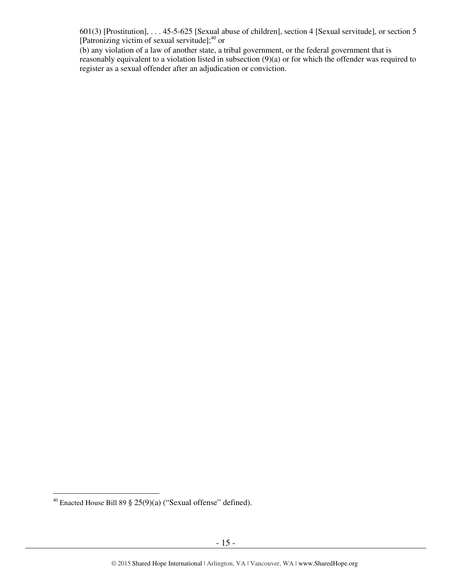601(3) [Prostitution], . . . 45-5-625 [Sexual abuse of children], section 4 [Sexual servitude], or section 5 [Patronizing victim of sexual servitude]; $^{40}$  or

(b) any violation of a law of another state, a tribal government, or the federal government that is reasonably equivalent to a violation listed in subsection (9)(a) or for which the offender was required to register as a sexual offender after an adjudication or conviction.

 $\overline{a}$ <sup>40</sup> Enacted House Bill 89 § 25(9)(a) ("Sexual offense" defined).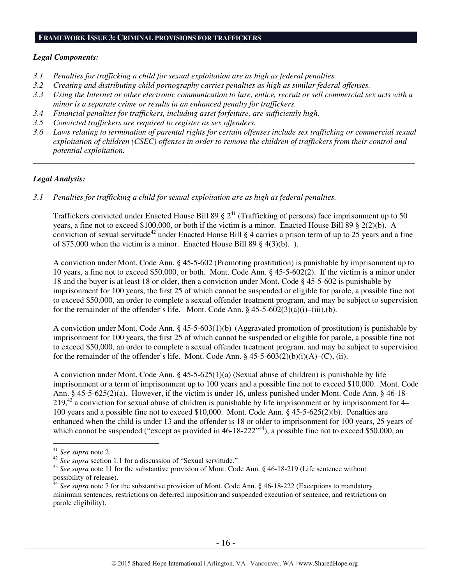#### **FRAMEWORK ISSUE 3: CRIMINAL PROVISIONS FOR TRAFFICKERS**

#### *Legal Components:*

- *3.1 Penalties for trafficking a child for sexual exploitation are as high as federal penalties.*
- *3.2 Creating and distributing child pornography carries penalties as high as similar federal offenses.*
- *3.3 Using the Internet or other electronic communication to lure, entice, recruit or sell commercial sex acts with a minor is a separate crime or results in an enhanced penalty for traffickers.*
- *3.4 Financial penalties for traffickers, including asset forfeiture, are sufficiently high.*
- *3.5 Convicted traffickers are required to register as sex offenders.*
- *3.6 Laws relating to termination of parental rights for certain offenses include sex trafficking or commercial sexual exploitation of children (CSEC) offenses in order to remove the children of traffickers from their control and potential exploitation.*

*\_\_\_\_\_\_\_\_\_\_\_\_\_\_\_\_\_\_\_\_\_\_\_\_\_\_\_\_\_\_\_\_\_\_\_\_\_\_\_\_\_\_\_\_\_\_\_\_\_\_\_\_\_\_\_\_\_\_\_\_\_\_\_\_\_\_\_\_\_\_\_\_\_\_\_\_\_\_\_\_\_\_\_\_\_\_\_\_\_\_\_\_\_\_* 

#### *Legal Analysis:*

*3.1 Penalties for trafficking a child for sexual exploitation are as high as federal penalties.* 

Traffickers convicted under Enacted House Bill 89  $\S 2^{41}$  (Trafficking of persons) face imprisonment up to 50 years, a fine not to exceed \$100,000, or both if the victim is a minor. Enacted House Bill 89 § 2(2)(b). A conviction of sexual servitude<sup>42</sup> under Enacted House Bill § 4 carries a prison term of up to 25 years and a fine of \$75,000 when the victim is a minor. Enacted House Bill 89 § 4(3)(b). ).

A conviction under Mont. Code Ann. § 45-5-602 (Promoting prostitution) is punishable by imprisonment up to 10 years, a fine not to exceed \$50,000, or both. Mont. Code Ann. § 45-5-602(2). If the victim is a minor under 18 and the buyer is at least 18 or older, then a conviction under Mont. Code § 45-5-602 is punishable by imprisonment for 100 years, the first 25 of which cannot be suspended or eligible for parole, a possible fine not to exceed \$50,000, an order to complete a sexual offender treatment program, and may be subject to supervision for the remainder of the offender's life. Mont. Code Ann.  $\S$  45-5-602(3)(a)(i)–(iii),(b).

A conviction under Mont. Code Ann. § 45-5-603(1)(b) (Aggravated promotion of prostitution) is punishable by imprisonment for 100 years, the first 25 of which cannot be suspended or eligible for parole, a possible fine not to exceed \$50,000, an order to complete a sexual offender treatment program, and may be subject to supervision for the remainder of the offender's life. Mont. Code Ann.  $\S$  45-5-603(2)(b)(i)(A)–(C), (ii).

A conviction under Mont. Code Ann. § 45-5-625(1)(a) (Sexual abuse of children) is punishable by life imprisonment or a term of imprisonment up to 100 years and a possible fine not to exceed \$10,000. Mont. Code Ann. § 45-5-625(2)(a). However, if the victim is under 16, unless punished under Mont. Code Ann. § 46-18- 219,<sup>43</sup> a conviction for sexual abuse of children is punishable by life imprisonment or by imprisonment for 4– 100 years and a possible fine not to exceed \$10,000. Mont. Code Ann. § 45-5-625(2)(b). Penalties are enhanced when the child is under 13 and the offender is 18 or older to imprisonment for 100 years, 25 years of which cannot be suspended ("except as provided in 46-18-222"<sup>44</sup>), a possible fine not to exceed \$50,000, an

<sup>41</sup> *See supra* note 2.

<sup>&</sup>lt;sup>42</sup> See supra section 1.1 for a discussion of "Sexual servitude."

<sup>&</sup>lt;sup>43</sup> See supra note 11 for the substantive provision of Mont. Code Ann. § 46-18-219 (Life sentence without possibility of release).

<sup>&</sup>lt;sup>44</sup> See supra note 7 for the substantive provision of Mont. Code Ann. § 46-18-222 (Exceptions to mandatory minimum sentences, restrictions on deferred imposition and suspended execution of sentence, and restrictions on parole eligibility).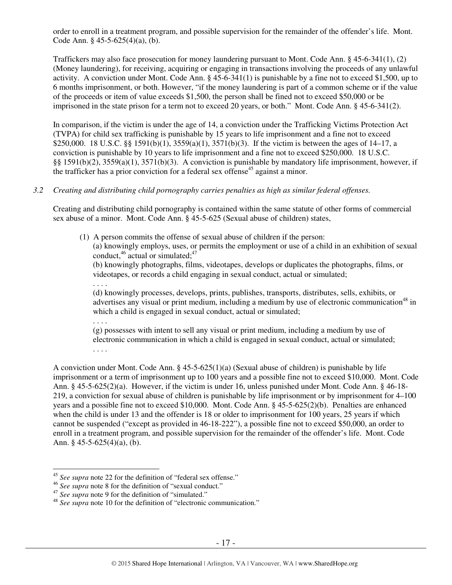order to enroll in a treatment program, and possible supervision for the remainder of the offender's life. Mont. Code Ann. § 45-5-625(4)(a), (b).

Traffickers may also face prosecution for money laundering pursuant to Mont. Code Ann. § 45-6-341(1), (2) (Money laundering), for receiving, acquiring or engaging in transactions involving the proceeds of any unlawful activity. A conviction under Mont. Code Ann. § 45-6-341(1) is punishable by a fine not to exceed \$1,500, up to 6 months imprisonment, or both. However, "if the money laundering is part of a common scheme or if the value of the proceeds or item of value exceeds \$1,500, the person shall be fined not to exceed \$50,000 or be imprisoned in the state prison for a term not to exceed 20 years, or both." Mont. Code Ann. § 45-6-341(2).

In comparison, if the victim is under the age of 14, a conviction under the Trafficking Victims Protection Act (TVPA) for child sex trafficking is punishable by 15 years to life imprisonment and a fine not to exceed \$250,000. 18 U.S.C. §§ 1591(b)(1), 3559(a)(1), 3571(b)(3). If the victim is between the ages of 14–17, a conviction is punishable by 10 years to life imprisonment and a fine not to exceed \$250,000. 18 U.S.C. §§ 1591(b)(2), 3559(a)(1), 3571(b)(3). A conviction is punishable by mandatory life imprisonment, however, if the trafficker has a prior conviction for a federal sex offense<sup>45</sup> against a minor.

## *3.2 Creating and distributing child pornography carries penalties as high as similar federal offenses.*

Creating and distributing child pornography is contained within the same statute of other forms of commercial sex abuse of a minor. Mont. Code Ann. § 45-5-625 (Sexual abuse of children) states,

(1) A person commits the offense of sexual abuse of children if the person: (a) knowingly employs, uses, or permits the employment or use of a child in an exhibition of sexual conduct,  $46$  actual or simulated;  $47$ 

(b) knowingly photographs, films, videotapes, develops or duplicates the photographs, films, or videotapes, or records a child engaging in sexual conduct, actual or simulated;

(d) knowingly processes, develops, prints, publishes, transports, distributes, sells, exhibits, or advertises any visual or print medium, including a medium by use of electronic communication<sup>48</sup> in which a child is engaged in sexual conduct, actual or simulated;

. . . .

. . . .

(g) possesses with intent to sell any visual or print medium, including a medium by use of electronic communication in which a child is engaged in sexual conduct, actual or simulated; . . . .

A conviction under Mont. Code Ann.  $\S 45-5-625(1)(a)$  (Sexual abuse of children) is punishable by life imprisonment or a term of imprisonment up to 100 years and a possible fine not to exceed \$10,000. Mont. Code Ann. § 45-5-625(2)(a). However, if the victim is under 16, unless punished under Mont. Code Ann. § 46-18- 219, a conviction for sexual abuse of children is punishable by life imprisonment or by imprisonment for 4–100 years and a possible fine not to exceed \$10,000. Mont. Code Ann. § 45-5-625(2)(b). Penalties are enhanced when the child is under 13 and the offender is 18 or older to imprisonment for 100 years, 25 years if which cannot be suspended ("except as provided in 46-18-222"), a possible fine not to exceed \$50,000, an order to enroll in a treatment program, and possible supervision for the remainder of the offender's life. Mont. Code Ann. § 45-5-625(4)(a), (b).

 $\overline{a}$ <sup>45</sup> *See supra* note 22 for the definition of "federal sex offense."

<sup>46</sup> *See supra* note 8 for the definition of "sexual conduct."

<sup>&</sup>lt;sup>47</sup> See supra note 9 for the definition of "simulated."

<sup>48</sup> *See supra* note 10 for the definition of "electronic communication."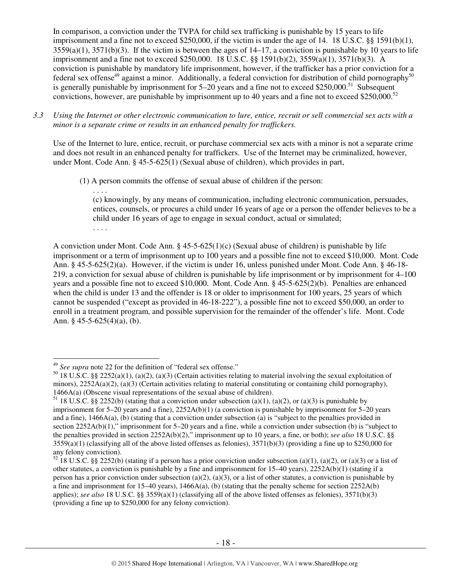In comparison, a conviction under the TVPA for child sex trafficking is punishable by 15 years to life imprisonment and a fine not to exceed \$250,000, if the victim is under the age of 14. 18 U.S.C. §§ 1591(b)(1),  $3559(a)(1)$ ,  $3571(b)(3)$ . If the victim is between the ages of  $14-17$ , a conviction is punishable by 10 years to life imprisonment and a fine not to exceed \$250,000. 18 U.S.C. §§ 1591(b)(2), 3559(a)(1), 3571(b)(3). A conviction is punishable by mandatory life imprisonment, however, if the trafficker has a prior conviction for a federal sex offense<sup>49</sup> against a minor. Additionally, a federal conviction for distribution of child pornography<sup>50</sup> is generally punishable by imprisonment for  $5-20$  years and a fine not to exceed \$250,000.<sup>51</sup> Subsequent convictions, however, are punishable by imprisonment up to 40 years and a fine not to exceed \$250,000.<sup>52</sup>

*3.3 Using the Internet or other electronic communication to lure, entice, recruit or sell commercial sex acts with a minor is a separate crime or results in an enhanced penalty for traffickers.* 

Use of the Internet to lure, entice, recruit, or purchase commercial sex acts with a minor is not a separate crime and does not result in an enhanced penalty for traffickers. Use of the Internet may be criminalized, however, under Mont. Code Ann. § 45-5-625(1) (Sexual abuse of children), which provides in part,

(1) A person commits the offense of sexual abuse of children if the person:

. . . .

 $\overline{a}$ 

(c) knowingly, by any means of communication, including electronic communication, persuades, entices, counsels, or procures a child under 16 years of age or a person the offender believes to be a child under 16 years of age to engage in sexual conduct, actual or simulated; . . . .

A conviction under Mont. Code Ann.  $\S 45-5-625(1)(c)$  (Sexual abuse of children) is punishable by life imprisonment or a term of imprisonment up to 100 years and a possible fine not to exceed \$10,000. Mont. Code Ann. § 45-5-625(2)(a). However, if the victim is under 16, unless punished under Mont. Code Ann. § 46-18- 219, a conviction for sexual abuse of children is punishable by life imprisonment or by imprisonment for 4–100 years and a possible fine not to exceed \$10,000. Mont. Code Ann. § 45-5-625(2)(b). Penalties are enhanced when the child is under 13 and the offender is 18 or older to imprisonment for 100 years, 25 years of which cannot be suspended ("except as provided in 46-18-222"), a possible fine not to exceed \$50,000, an order to enroll in a treatment program, and possible supervision for the remainder of the offender's life. Mont. Code Ann. § 45-5-625(4)(a), (b).

<sup>49</sup> *See supra* note 22 for the definition of "federal sex offense."

<sup>&</sup>lt;sup>50</sup> 18 U.S.C. §§ 2252(a)(1), (a)(2), (a)(3) (Certain activities relating to material involving the sexual exploitation of minors),  $2252A(a)(2)$ ,  $(a)(3)$  (Certain activities relating to material constituting or containing child pornography), 1466A(a) (Obscene visual representations of the sexual abuse of children).

<sup>&</sup>lt;sup>51</sup> 18 U.S.C. §§ 2252(b) (stating that a conviction under subsection (a)(1), (a)(2), or (a)(3) is punishable by imprisonment for 5–20 years and a fine), 2252A(b)(1) (a conviction is punishable by imprisonment for 5–20 years and a fine), 1466A(a), (b) (stating that a conviction under subsection (a) is "subject to the penalties provided in section 2252A(b)(1)," imprisonment for 5–20 years and a fine, while a conviction under subsection (b) is "subject to the penalties provided in section 2252A(b)(2)," imprisonment up to 10 years, a fine, or both); *see also* 18 U.S.C. §§  $3559(a)(1)$  (classifying all of the above listed offenses as felonies),  $3571(b)(3)$  (providing a fine up to \$250,000 for any felony conviction).

 $52$  18 U.S.C. §§ 2252(b) (stating if a person has a prior conviction under subsection (a)(1), (a)(2), or (a)(3) or a list of other statutes, a conviction is punishable by a fine and imprisonment for  $15-40$  years),  $2252A(b)(1)$  (stating if a person has a prior conviction under subsection (a)(2), (a)(3), or a list of other statutes, a conviction is punishable by a fine and imprisonment for  $15-40$  years),  $1466A(a)$ , (b) (stating that the penalty scheme for section  $2252A(b)$ applies); *see also* 18 U.S.C. §§ 3559(a)(1) (classifying all of the above listed offenses as felonies), 3571(b)(3) (providing a fine up to \$250,000 for any felony conviction).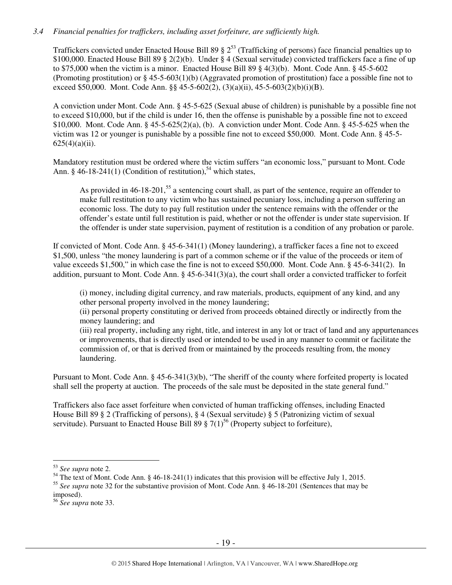## *3.4 Financial penalties for traffickers, including asset forfeiture, are sufficiently high.*

Traffickers convicted under Enacted House Bill 89  $\S 2^{53}$  (Trafficking of persons) face financial penalties up to \$100,000. Enacted House Bill 89 § 2(2)(b). Under § 4 (Sexual servitude) convicted traffickers face a fine of up to \$75,000 when the victim is a minor. Enacted House Bill 89 § 4(3)(b). Mont. Code Ann. § 45-5-602 (Promoting prostitution) or § 45-5-603(1)(b) (Aggravated promotion of prostitution) face a possible fine not to exceed \$50,000. Mont. Code Ann. §§ 45-5-602(2), (3)(a)(ii), 45-5-603(2)(b)(i)(B).

A conviction under Mont. Code Ann. § 45-5-625 (Sexual abuse of children) is punishable by a possible fine not to exceed \$10,000, but if the child is under 16, then the offense is punishable by a possible fine not to exceed \$10,000. Mont. Code Ann. § 45-5-625(2)(a), (b). A conviction under Mont. Code Ann. § 45-5-625 when the victim was 12 or younger is punishable by a possible fine not to exceed \$50,000. Mont. Code Ann. § 45-5-  $625(4)(a)(ii)$ .

Mandatory restitution must be ordered where the victim suffers "an economic loss," pursuant to Mont. Code Ann. § 46-18-241(1) (Condition of restitution),<sup>54</sup> which states,

As provided in 46-18-201,<sup>55</sup> a sentencing court shall, as part of the sentence, require an offender to make full restitution to any victim who has sustained pecuniary loss, including a person suffering an economic loss. The duty to pay full restitution under the sentence remains with the offender or the offender's estate until full restitution is paid, whether or not the offender is under state supervision. If the offender is under state supervision, payment of restitution is a condition of any probation or parole.

If convicted of Mont. Code Ann. § 45-6-341(1) (Money laundering), a trafficker faces a fine not to exceed \$1,500, unless "the money laundering is part of a common scheme or if the value of the proceeds or item of value exceeds \$1,500," in which case the fine is not to exceed \$50,000. Mont. Code Ann. § 45-6-341(2). In addition, pursuant to Mont. Code Ann. § 45-6-341(3)(a), the court shall order a convicted trafficker to forfeit

(i) money, including digital currency, and raw materials, products, equipment of any kind, and any other personal property involved in the money laundering;

(ii) personal property constituting or derived from proceeds obtained directly or indirectly from the money laundering; and

(iii) real property, including any right, title, and interest in any lot or tract of land and any appurtenances or improvements, that is directly used or intended to be used in any manner to commit or facilitate the commission of, or that is derived from or maintained by the proceeds resulting from, the money laundering.

Pursuant to Mont. Code Ann. § 45-6-341(3)(b), "The sheriff of the county where forfeited property is located shall sell the property at auction. The proceeds of the sale must be deposited in the state general fund."

Traffickers also face asset forfeiture when convicted of human trafficking offenses, including Enacted House Bill 89 § 2 (Trafficking of persons), § 4 (Sexual servitude) § 5 (Patronizing victim of sexual servitude). Pursuant to Enacted House Bill 89  $\S 7(1)^{56}$  (Property subject to forfeiture),

<sup>53</sup> *See supra* note 2.

<sup>&</sup>lt;sup>54</sup> The text of Mont. Code Ann. § 46-18-241(1) indicates that this provision will be effective July 1, 2015.

<sup>55</sup> *See supra* note 32 for the substantive provision of Mont. Code Ann. § 46-18-201 (Sentences that may be imposed).

<sup>56</sup> *See supra* note 33.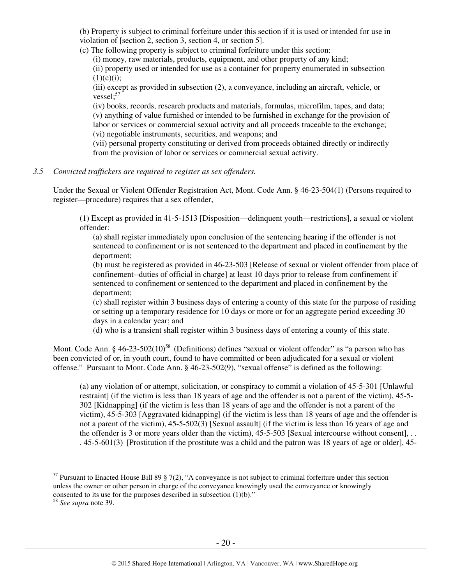(b) Property is subject to criminal forfeiture under this section if it is used or intended for use in violation of [section 2, section 3, section 4, or section 5].

(c) The following property is subject to criminal forfeiture under this section:

(i) money, raw materials, products, equipment, and other property of any kind;

(ii) property used or intended for use as a container for property enumerated in subsection  $(1)(c)(i)$ ;

(iii) except as provided in subsection (2), a conveyance, including an aircraft, vehicle, or vessel; $57$ 

(iv) books, records, research products and materials, formulas, microfilm, tapes, and data; (v) anything of value furnished or intended to be furnished in exchange for the provision of labor or services or commercial sexual activity and all proceeds traceable to the exchange; (vi) negotiable instruments, securities, and weapons; and

(vii) personal property constituting or derived from proceeds obtained directly or indirectly from the provision of labor or services or commercial sexual activity.

*3.5 Convicted traffickers are required to register as sex offenders.* 

Under the Sexual or Violent Offender Registration Act, Mont. Code Ann. § 46-23-504(1) (Persons required to register—procedure) requires that a sex offender,

(1) Except as provided in 41-5-1513 [Disposition—delinquent youth—restrictions], a sexual or violent offender:

(a) shall register immediately upon conclusion of the sentencing hearing if the offender is not sentenced to confinement or is not sentenced to the department and placed in confinement by the department;

(b) must be registered as provided in 46-23-503 [Release of sexual or violent offender from place of confinement--duties of official in charge] at least 10 days prior to release from confinement if sentenced to confinement or sentenced to the department and placed in confinement by the department;

(c) shall register within 3 business days of entering a county of this state for the purpose of residing or setting up a temporary residence for 10 days or more or for an aggregate period exceeding 30 days in a calendar year; and

(d) who is a transient shall register within 3 business days of entering a county of this state.

Mont. Code Ann. § 46-23-502(10)<sup>58</sup> (Definitions) defines "sexual or violent offender" as "a person who has been convicted of or, in youth court, found to have committed or been adjudicated for a sexual or violent offense." Pursuant to Mont. Code Ann. § 46-23-502(9), "sexual offense" is defined as the following:

(a) any violation of or attempt, solicitation, or conspiracy to commit a violation of 45-5-301 [Unlawful restraint] (if the victim is less than 18 years of age and the offender is not a parent of the victim), 45-5- 302 [Kidnapping] (if the victim is less than 18 years of age and the offender is not a parent of the victim), 45-5-303 [Aggravated kidnapping] (if the victim is less than 18 years of age and the offender is not a parent of the victim), 45-5-502(3) [Sexual assault] (if the victim is less than 16 years of age and the offender is 3 or more years older than the victim),  $45-5-503$  [Sexual intercourse without consent], ... . 45-5-601(3) [Prostitution if the prostitute was a child and the patron was 18 years of age or older], 45-

 $<sup>57</sup>$  Pursuant to Enacted House Bill 89 § 7(2), "A conveyance is not subject to criminal forfeiture under this section</sup> unless the owner or other person in charge of the conveyance knowingly used the conveyance or knowingly consented to its use for the purposes described in subsection (1)(b)."

<sup>58</sup> *See supra* note 39.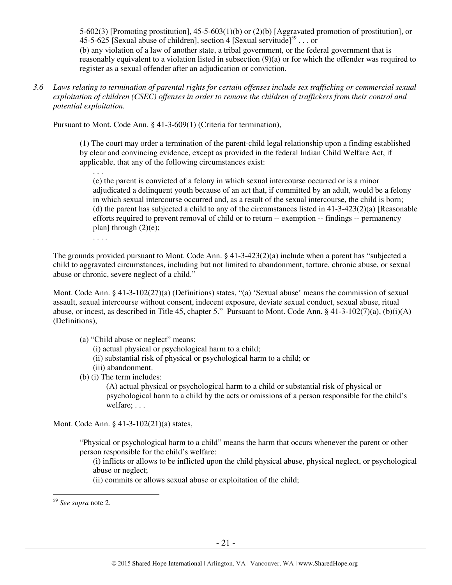5-602(3) [Promoting prostitution], 45-5-603(1)(b) or (2)(b) [Aggravated promotion of prostitution], or 45-5-625 [Sexual abuse of children], section 4 [Sexual servitude]<sup>59</sup> . . . or (b) any violation of a law of another state, a tribal government, or the federal government that is reasonably equivalent to a violation listed in subsection (9)(a) or for which the offender was required to register as a sexual offender after an adjudication or conviction.

*3.6 Laws relating to termination of parental rights for certain offenses include sex trafficking or commercial sexual exploitation of children (CSEC) offenses in order to remove the children of traffickers from their control and potential exploitation.* 

Pursuant to Mont. Code Ann. § 41-3-609(1) (Criteria for termination),

(1) The court may order a termination of the parent-child legal relationship upon a finding established by clear and convincing evidence, except as provided in the federal Indian Child Welfare Act, if applicable, that any of the following circumstances exist:

. . .

(c) the parent is convicted of a felony in which sexual intercourse occurred or is a minor adjudicated a delinquent youth because of an act that, if committed by an adult, would be a felony in which sexual intercourse occurred and, as a result of the sexual intercourse, the child is born; (d) the parent has subjected a child to any of the circumstances listed in  $41-3-423(2)(a)$  [Reasonable efforts required to prevent removal of child or to return -- exemption -- findings -- permanency plan] through  $(2)(e)$ ;

. . . .

The grounds provided pursuant to Mont. Code Ann. § 41-3-423(2)(a) include when a parent has "subjected a child to aggravated circumstances, including but not limited to abandonment, torture, chronic abuse, or sexual abuse or chronic, severe neglect of a child."

Mont. Code Ann. § 41-3-102(27)(a) (Definitions) states, "(a) 'Sexual abuse' means the commission of sexual assault, sexual intercourse without consent, indecent exposure, deviate sexual conduct, sexual abuse, ritual abuse, or incest, as described in Title 45, chapter 5." Pursuant to Mont. Code Ann. § 41-3-102(7)(a), (b)(i)(A) (Definitions),

(a) "Child abuse or neglect" means:

(i) actual physical or psychological harm to a child;

- (ii) substantial risk of physical or psychological harm to a child; or
- (iii) abandonment.

(b) (i) The term includes:

(A) actual physical or psychological harm to a child or substantial risk of physical or psychological harm to a child by the acts or omissions of a person responsible for the child's welfare; . . .

Mont. Code Ann. § 41-3-102(21)(a) states,

"Physical or psychological harm to a child" means the harm that occurs whenever the parent or other person responsible for the child's welfare:

(i) inflicts or allows to be inflicted upon the child physical abuse, physical neglect, or psychological abuse or neglect;

(ii) commits or allows sexual abuse or exploitation of the child;

<sup>59</sup> *See supra* note 2.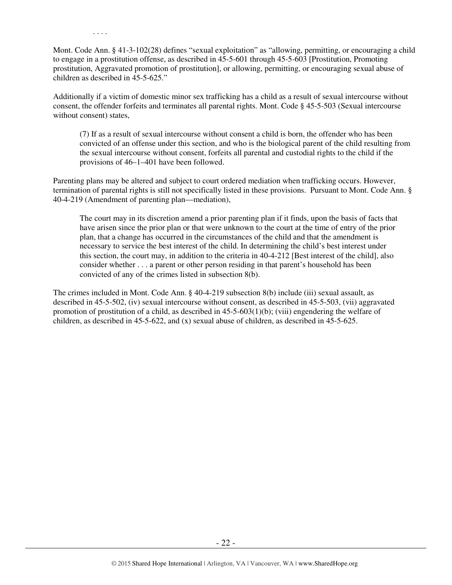Mont. Code Ann. § 41-3-102(28) defines "sexual exploitation" as "allowing, permitting, or encouraging a child to engage in a prostitution offense, as described in 45-5-601 through 45-5-603 [Prostitution, Promoting prostitution, Aggravated promotion of prostitution], or allowing, permitting, or encouraging sexual abuse of children as described in 45-5-625."

Additionally if a victim of domestic minor sex trafficking has a child as a result of sexual intercourse without consent, the offender forfeits and terminates all parental rights. Mont. Code § 45-5-503 (Sexual intercourse without consent) states,

(7) If as a result of sexual intercourse without consent a child is born, the offender who has been convicted of an offense under this section, and who is the biological parent of the child resulting from the sexual intercourse without consent, forfeits all parental and custodial rights to the child if the provisions of 46–1–401 have been followed.

Parenting plans may be altered and subject to court ordered mediation when trafficking occurs. However, termination of parental rights is still not specifically listed in these provisions. Pursuant to Mont. Code Ann. § 40-4-219 (Amendment of parenting plan—mediation),

The court may in its discretion amend a prior parenting plan if it finds, upon the basis of facts that have arisen since the prior plan or that were unknown to the court at the time of entry of the prior plan, that a change has occurred in the circumstances of the child and that the amendment is necessary to service the best interest of the child. In determining the child's best interest under this section, the court may, in addition to the criteria in 40-4-212 [Best interest of the child], also consider whether . . . a parent or other person residing in that parent's household has been convicted of any of the crimes listed in subsection 8(b).

The crimes included in Mont. Code Ann. § 40-4-219 subsection 8(b) include (iii) sexual assault, as described in 45-5-502, (iv) sexual intercourse without consent, as described in 45-5-503, (vii) aggravated promotion of prostitution of a child, as described in  $45-5-603(1)(b)$ ; (viii) engendering the welfare of children, as described in 45-5-622, and (x) sexual abuse of children, as described in 45-5-625.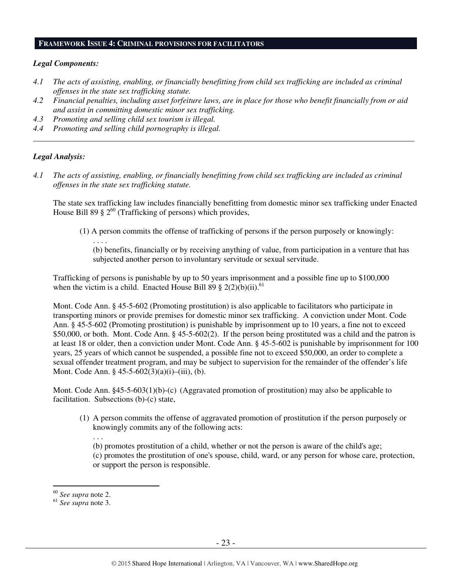#### **FRAMEWORK ISSUE 4: CRIMINAL PROVISIONS FOR FACILITATORS**

#### *Legal Components:*

- *4.1 The acts of assisting, enabling, or financially benefitting from child sex trafficking are included as criminal offenses in the state sex trafficking statute.*
- *4.2 Financial penalties, including asset forfeiture laws, are in place for those who benefit financially from or aid and assist in committing domestic minor sex trafficking.*

*\_\_\_\_\_\_\_\_\_\_\_\_\_\_\_\_\_\_\_\_\_\_\_\_\_\_\_\_\_\_\_\_\_\_\_\_\_\_\_\_\_\_\_\_\_\_\_\_\_\_\_\_\_\_\_\_\_\_\_\_\_\_\_\_\_\_\_\_\_\_\_\_\_\_\_\_\_\_\_\_\_\_\_\_\_\_\_\_\_\_\_\_\_\_* 

*4.3 Promoting and selling child sex tourism is illegal.* 

. . . .

*4.4 Promoting and selling child pornography is illegal.* 

## *Legal Analysis:*

*4.1 The acts of assisting, enabling, or financially benefitting from child sex trafficking are included as criminal offenses in the state sex trafficking statute.* 

The state sex trafficking law includes financially benefitting from domestic minor sex trafficking under Enacted House Bill 89 §  $2^{60}$  (Trafficking of persons) which provides,

(1) A person commits the offense of trafficking of persons if the person purposely or knowingly:

(b) benefits, financially or by receiving anything of value, from participation in a venture that has subjected another person to involuntary servitude or sexual servitude.

Trafficking of persons is punishable by up to 50 years imprisonment and a possible fine up to \$100,000 when the victim is a child. Enacted House Bill 89  $\S$  2(2)(b)(ii).<sup>61</sup>

Mont. Code Ann. § 45-5-602 (Promoting prostitution) is also applicable to facilitators who participate in transporting minors or provide premises for domestic minor sex trafficking. A conviction under Mont. Code Ann. § 45-5-602 (Promoting prostitution) is punishable by imprisonment up to 10 years, a fine not to exceed \$50,000, or both. Mont. Code Ann. § 45-5-602(2). If the person being prostituted was a child and the patron is at least 18 or older, then a conviction under Mont. Code Ann. § 45-5-602 is punishable by imprisonment for 100 years, 25 years of which cannot be suspended, a possible fine not to exceed \$50,000, an order to complete a sexual offender treatment program, and may be subject to supervision for the remainder of the offender's life Mont. Code Ann. § 45-5-602(3)(a)(i)–(iii), (b).

Mont. Code Ann. §45-5-603(1)(b)-(c) (Aggravated promotion of prostitution) may also be applicable to facilitation. Subsections (b)-(c) state,

(1) A person commits the offense of aggravated promotion of prostitution if the person purposely or knowingly commits any of the following acts:

(b) promotes prostitution of a child, whether or not the person is aware of the child's age; (c) promotes the prostitution of one's spouse, child, ward, or any person for whose care, protection, or support the person is responsible.

 $\overline{a}$ 

. . .

<sup>60</sup> *See supra* note 2.

<sup>61</sup> *See supra* note 3.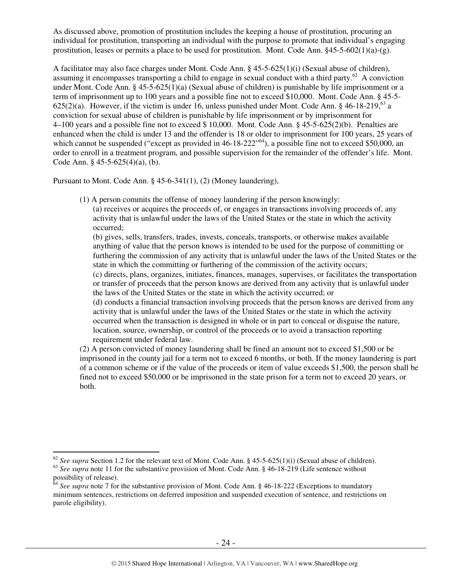As discussed above, promotion of prostitution includes the keeping a house of prostitution, procuring an individual for prostitution, transporting an individual with the purpose to promote that individual's engaging prostitution, leases or permits a place to be used for prostitution. Mont. Code Ann.  $§45-5-602(1)(a)-(g)$ .

A facilitator may also face charges under Mont. Code Ann. § 45-5-625(1)(i) (Sexual abuse of children), assuming it encompasses transporting a child to engage in sexual conduct with a third party.<sup>62</sup> A conviction under Mont. Code Ann. § 45-5-625(1)(a) (Sexual abuse of children) is punishable by life imprisonment or a term of imprisonment up to 100 years and a possible fine not to exceed \$10,000. Mont. Code Ann. § 45-5- 625(2)(a). However, if the victim is under 16, unless punished under Mont. Code Ann.  $\S$  46-18-219,<sup>63</sup> a conviction for sexual abuse of children is punishable by life imprisonment or by imprisonment for 4–100 years and a possible fine not to exceed \$ 10,000. Mont. Code Ann. § 45-5-625(2)(b). Penalties are enhanced when the child is under 13 and the offender is 18 or older to imprisonment for 100 years, 25 years of which cannot be suspended ("except as provided in 46-18-222"<sup>64</sup>), a possible fine not to exceed \$50,000, an order to enroll in a treatment program, and possible supervision for the remainder of the offender's life. Mont. Code Ann. § 45-5-625(4)(a), (b).

Pursuant to Mont. Code Ann. § 45-6-341(1), (2) (Money laundering),

(1) A person commits the offense of money laundering if the person knowingly:

(a) receives or acquires the proceeds of, or engages in transactions involving proceeds of, any activity that is unlawful under the laws of the United States or the state in which the activity occurred;

(b) gives, sells, transfers, trades, invests, conceals, transports, or otherwise makes available anything of value that the person knows is intended to be used for the purpose of committing or furthering the commission of any activity that is unlawful under the laws of the United States or the state in which the committing or furthering of the commission of the activity occurs;

(c) directs, plans, organizes, initiates, finances, manages, supervises, or facilitates the transportation or transfer of proceeds that the person knows are derived from any activity that is unlawful under the laws of the United States or the state in which the activity occurred; or

(d) conducts a financial transaction involving proceeds that the person knows are derived from any activity that is unlawful under the laws of the United States or the state in which the activity occurred when the transaction is designed in whole or in part to conceal or disguise the nature, location, source, ownership, or control of the proceeds or to avoid a transaction reporting requirement under federal law.

(2) A person convicted of money laundering shall be fined an amount not to exceed \$1,500 or be imprisoned in the county jail for a term not to exceed 6 months, or both. If the money laundering is part of a common scheme or if the value of the proceeds or item of value exceeds \$1,500, the person shall be fined not to exceed \$50,000 or be imprisoned in the state prison for a term not to exceed 20 years, or both.

<sup>&</sup>lt;sup>62</sup> *See supra* Section 1.2 for the relevant text of Mont. Code Ann. § 45-5-625(1)(i) (Sexual abuse of children). <sup>63</sup> See supra note 11 for the substantive provision of Mont. Code Ann. § 46-18-219 (Life sentence without possibility of release).

<sup>&</sup>lt;sup>64</sup> See supra note 7 for the substantive provision of Mont. Code Ann. § 46-18-222 (Exceptions to mandatory minimum sentences, restrictions on deferred imposition and suspended execution of sentence, and restrictions on parole eligibility).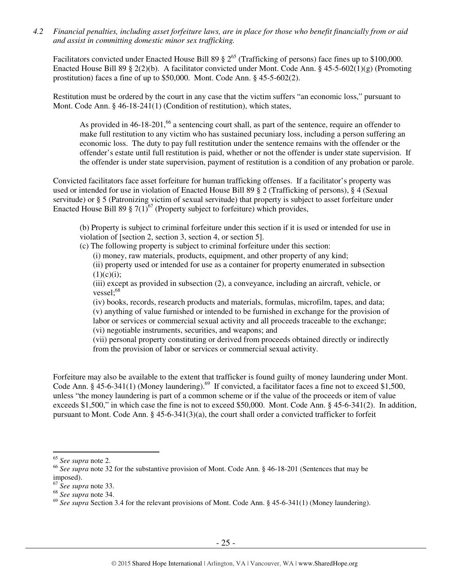*4.2 Financial penalties, including asset forfeiture laws, are in place for those who benefit financially from or aid and assist in committing domestic minor sex trafficking.* 

Facilitators convicted under Enacted House Bill 89  $\S 2^{65}$  (Trafficking of persons) face fines up to \$100,000. Enacted House Bill 89 § 2(2)(b). A facilitator convicted under Mont. Code Ann. § 45-5-602(1)(g) (Promoting prostitution) faces a fine of up to \$50,000. Mont. Code Ann. § 45-5-602(2).

Restitution must be ordered by the court in any case that the victim suffers "an economic loss," pursuant to Mont. Code Ann. § 46-18-241(1) (Condition of restitution), which states,

As provided in  $46-18-201$ ,<sup>66</sup> a sentencing court shall, as part of the sentence, require an offender to make full restitution to any victim who has sustained pecuniary loss, including a person suffering an economic loss. The duty to pay full restitution under the sentence remains with the offender or the offender's estate until full restitution is paid, whether or not the offender is under state supervision. If the offender is under state supervision, payment of restitution is a condition of any probation or parole.

Convicted facilitators face asset forfeiture for human trafficking offenses. If a facilitator's property was used or intended for use in violation of Enacted House Bill 89 § 2 (Trafficking of persons), § 4 (Sexual servitude) or § 5 (Patronizing victim of sexual servitude) that property is subject to asset forfeiture under Enacted House Bill 89  $\S$  7(1)<sup>67</sup> (Property subject to forfeiture) which provides,

(b) Property is subject to criminal forfeiture under this section if it is used or intended for use in violation of [section 2, section 3, section 4, or section 5].

(c) The following property is subject to criminal forfeiture under this section:

(i) money, raw materials, products, equipment, and other property of any kind;

(ii) property used or intended for use as a container for property enumerated in subsection  $(1)(c)(i);$ 

(iii) except as provided in subsection (2), a conveyance, including an aircraft, vehicle, or  $vessel: <sup>68</sup>$ 

(iv) books, records, research products and materials, formulas, microfilm, tapes, and data; (v) anything of value furnished or intended to be furnished in exchange for the provision of labor or services or commercial sexual activity and all proceeds traceable to the exchange; (vi) negotiable instruments, securities, and weapons; and

(vii) personal property constituting or derived from proceeds obtained directly or indirectly from the provision of labor or services or commercial sexual activity.

Forfeiture may also be available to the extent that trafficker is found guilty of money laundering under Mont. Code Ann.  $\S$  45-6-341(1) (Money laundering).<sup>69</sup> If convicted, a facilitator faces a fine not to exceed \$1,500, unless "the money laundering is part of a common scheme or if the value of the proceeds or item of value exceeds \$1,500," in which case the fine is not to exceed \$50,000. Mont. Code Ann. § 45-6-341(2). In addition, pursuant to Mont. Code Ann. § 45-6-341(3)(a), the court shall order a convicted trafficker to forfeit

<sup>65</sup> *See supra* note 2.

<sup>66</sup> *See supra* note 32 for the substantive provision of Mont. Code Ann. § 46-18-201 (Sentences that may be imposed).

<sup>67</sup> *See supra* note 33.

<sup>68</sup> *See supra* note 34.

<sup>&</sup>lt;sup>69</sup> See supra Section 3.4 for the relevant provisions of Mont. Code Ann. § 45-6-341(1) (Money laundering).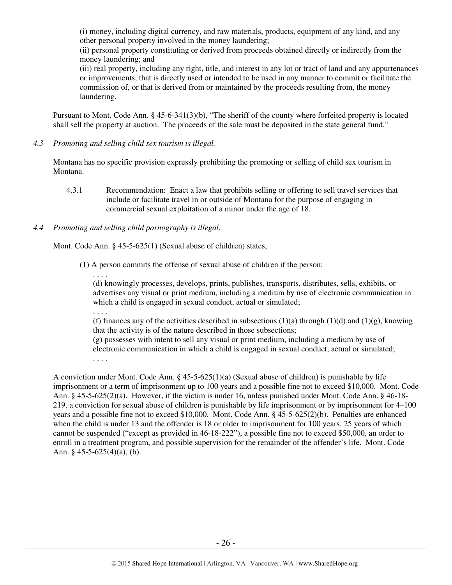(i) money, including digital currency, and raw materials, products, equipment of any kind, and any other personal property involved in the money laundering;

(ii) personal property constituting or derived from proceeds obtained directly or indirectly from the money laundering; and

(iii) real property, including any right, title, and interest in any lot or tract of land and any appurtenances or improvements, that is directly used or intended to be used in any manner to commit or facilitate the commission of, or that is derived from or maintained by the proceeds resulting from, the money laundering.

Pursuant to Mont. Code Ann. § 45-6-341(3)(b), "The sheriff of the county where forfeited property is located shall sell the property at auction. The proceeds of the sale must be deposited in the state general fund."

*4.3 Promoting and selling child sex tourism is illegal.* 

Montana has no specific provision expressly prohibiting the promoting or selling of child sex tourism in Montana.

4.3.1 Recommendation: Enact a law that prohibits selling or offering to sell travel services that include or facilitate travel in or outside of Montana for the purpose of engaging in commercial sexual exploitation of a minor under the age of 18.

# *4.4 Promoting and selling child pornography is illegal.*

Mont. Code Ann. § 45-5-625(1) (Sexual abuse of children) states,

(1) A person commits the offense of sexual abuse of children if the person:

. . . .

(d) knowingly processes, develops, prints, publishes, transports, distributes, sells, exhibits, or advertises any visual or print medium, including a medium by use of electronic communication in which a child is engaged in sexual conduct, actual or simulated;

. . . .

(f) finances any of the activities described in subsections  $(1)(a)$  through  $(1)(d)$  and  $(1)(g)$ , knowing that the activity is of the nature described in those subsections;

(g) possesses with intent to sell any visual or print medium, including a medium by use of electronic communication in which a child is engaged in sexual conduct, actual or simulated; . . . .

A conviction under Mont. Code Ann.  $\S 45-5-625(1)(a)$  (Sexual abuse of children) is punishable by life imprisonment or a term of imprisonment up to 100 years and a possible fine not to exceed \$10,000. Mont. Code Ann. § 45-5-625(2)(a). However, if the victim is under 16, unless punished under Mont. Code Ann. § 46-18- 219, a conviction for sexual abuse of children is punishable by life imprisonment or by imprisonment for 4–100 years and a possible fine not to exceed \$10,000. Mont. Code Ann. § 45-5-625(2)(b). Penalties are enhanced when the child is under 13 and the offender is 18 or older to imprisonment for 100 years, 25 years of which cannot be suspended ("except as provided in 46-18-222"), a possible fine not to exceed \$50,000, an order to enroll in a treatment program, and possible supervision for the remainder of the offender's life. Mont. Code Ann. § 45-5-625(4)(a), (b).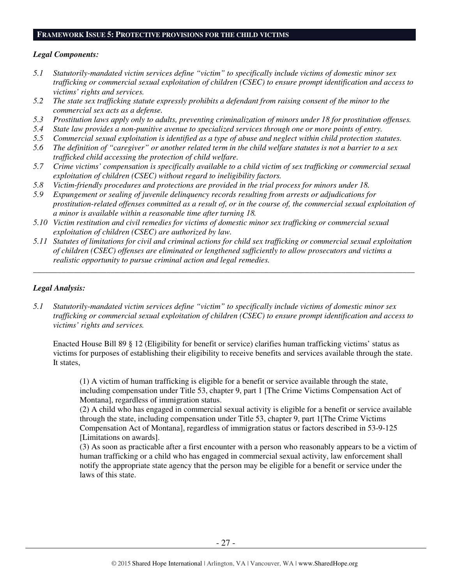#### **FRAMEWORK ISSUE 5: PROTECTIVE PROVISIONS FOR THE CHILD VICTIMS**

#### *Legal Components:*

- *5.1 Statutorily-mandated victim services define "victim" to specifically include victims of domestic minor sex trafficking or commercial sexual exploitation of children (CSEC) to ensure prompt identification and access to victims' rights and services.*
- *5.2 The state sex trafficking statute expressly prohibits a defendant from raising consent of the minor to the commercial sex acts as a defense.*
- *5.3 Prostitution laws apply only to adults, preventing criminalization of minors under 18 for prostitution offenses.*
- *5.4 State law provides a non-punitive avenue to specialized services through one or more points of entry.*
- *5.5 Commercial sexual exploitation is identified as a type of abuse and neglect within child protection statutes.*
- *5.6 The definition of "caregiver" or another related term in the child welfare statutes is not a barrier to a sex trafficked child accessing the protection of child welfare.*
- *5.7 Crime victims' compensation is specifically available to a child victim of sex trafficking or commercial sexual exploitation of children (CSEC) without regard to ineligibility factors.*
- *5.8 Victim-friendly procedures and protections are provided in the trial process for minors under 18.*
- *5.9 Expungement or sealing of juvenile delinquency records resulting from arrests or adjudications for prostitution-related offenses committed as a result of, or in the course of, the commercial sexual exploitation of a minor is available within a reasonable time after turning 18.*
- *5.10 Victim restitution and civil remedies for victims of domestic minor sex trafficking or commercial sexual exploitation of children (CSEC) are authorized by law.*
- *5.11 Statutes of limitations for civil and criminal actions for child sex trafficking or commercial sexual exploitation of children (CSEC) offenses are eliminated or lengthened sufficiently to allow prosecutors and victims a realistic opportunity to pursue criminal action and legal remedies.*

*\_\_\_\_\_\_\_\_\_\_\_\_\_\_\_\_\_\_\_\_\_\_\_\_\_\_\_\_\_\_\_\_\_\_\_\_\_\_\_\_\_\_\_\_\_\_\_\_\_\_\_\_\_\_\_\_\_\_\_\_\_\_\_\_\_\_\_\_\_\_\_\_\_\_\_\_\_\_\_\_\_\_\_\_\_\_\_\_\_\_\_\_\_\_* 

## *Legal Analysis:*

*5.1 Statutorily-mandated victim services define "victim" to specifically include victims of domestic minor sex trafficking or commercial sexual exploitation of children (CSEC) to ensure prompt identification and access to victims' rights and services.* 

Enacted House Bill 89 § 12 (Eligibility for benefit or service) clarifies human trafficking victims' status as victims for purposes of establishing their eligibility to receive benefits and services available through the state. It states,

(1) A victim of human trafficking is eligible for a benefit or service available through the state, including compensation under Title 53, chapter 9, part 1 [The Crime Victims Compensation Act of Montana], regardless of immigration status.

(2) A child who has engaged in commercial sexual activity is eligible for a benefit or service available through the state, including compensation under Title 53, chapter 9, part 1[The Crime Victims Compensation Act of Montana], regardless of immigration status or factors described in 53-9-125 [Limitations on awards].

(3) As soon as practicable after a first encounter with a person who reasonably appears to be a victim of human trafficking or a child who has engaged in commercial sexual activity, law enforcement shall notify the appropriate state agency that the person may be eligible for a benefit or service under the laws of this state.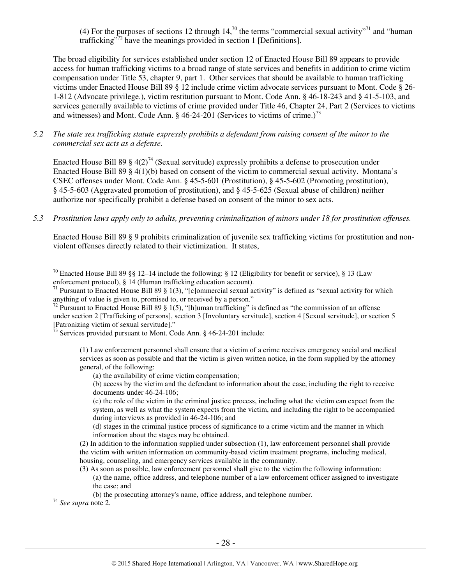(4) For the purposes of sections 12 through 14,<sup>70</sup> the terms "commercial sexual activity"<sup>71</sup> and "human" trafficking"<sup>72</sup> have the meanings provided in section 1 [Definitions].

The broad eligibility for services established under section 12 of Enacted House Bill 89 appears to provide access for human trafficking victims to a broad range of state services and benefits in addition to crime victim compensation under Title 53, chapter 9, part 1. Other services that should be available to human trafficking victims under Enacted House Bill 89 § 12 include crime victim advocate services pursuant to Mont. Code § 26- 1-812 (Advocate privilege.), victim restitution pursuant to Mont. Code Ann. § 46-18-243 and § 41-5-103, and services generally available to victims of crime provided under Title 46, Chapter 24, Part 2 (Services to victims and witnesses) and Mont. Code Ann.  $\frac{646-24-201}{2}$  (Services to victims of crime.)<sup>73</sup>

*5.2 The state sex trafficking statute expressly prohibits a defendant from raising consent of the minor to the commercial sex acts as a defense.* 

Enacted House Bill 89 § 4(2)<sup>74</sup> (Sexual servitude) expressly prohibits a defense to prosecution under Enacted House Bill 89 § 4(1)(b) based on consent of the victim to commercial sexual activity. Montana's CSEC offenses under Mont. Code Ann. § 45-5-601 (Prostitution), § 45-5-602 (Promoting prostitution), § 45-5-603 (Aggravated promotion of prostitution), and § 45-5-625 (Sexual abuse of children) neither authorize nor specifically prohibit a defense based on consent of the minor to sex acts.

*5.3 Prostitution laws apply only to adults, preventing criminalization of minors under 18 for prostitution offenses.* 

Enacted House Bill 89 § 9 prohibits criminalization of juvenile sex trafficking victims for prostitution and nonviolent offenses directly related to their victimization. It states,

<sup>74</sup> *See supra* note 2.

<sup>&</sup>lt;sup>70</sup> Enacted House Bill 89 §§ 12–14 include the following: § 12 (Eligibility for benefit or service), § 13 (Law enforcement protocol), § 14 (Human trafficking education account).

<sup>&</sup>lt;sup>71</sup> Pursuant to Enacted House Bill 89 § 1(3), "[c]ommercial sexual activity" is defined as "sexual activity for which anything of value is given to, promised to, or received by a person."

<sup>&</sup>lt;sup>72</sup> Pursuant to Enacted House Bill 89 § 1(5), "[h]uman trafficking" is defined as "the commission of an offense under section 2 [Trafficking of persons], section 3 [Involuntary servitude], section 4 [Sexual servitude], or section 5 [Patronizing victim of sexual servitude]."

 $73$  Services provided pursuant to Mont. Code Ann. § 46-24-201 include:

<sup>(1)</sup> Law enforcement personnel shall ensure that a victim of a crime receives emergency social and medical services as soon as possible and that the victim is given written notice, in the form supplied by the attorney general, of the following:

<sup>(</sup>a) the availability of crime victim compensation;

<sup>(</sup>b) access by the victim and the defendant to information about the case, including the right to receive documents under 46-24-106;

<sup>(</sup>c) the role of the victim in the criminal justice process, including what the victim can expect from the system, as well as what the system expects from the victim, and including the right to be accompanied during interviews as provided in 46-24-106; and

<sup>(</sup>d) stages in the criminal justice process of significance to a crime victim and the manner in which information about the stages may be obtained.

<sup>(2)</sup> In addition to the information supplied under subsection (1), law enforcement personnel shall provide the victim with written information on community-based victim treatment programs, including medical, housing, counseling, and emergency services available in the community.

<sup>(3)</sup> As soon as possible, law enforcement personnel shall give to the victim the following information: (a) the name, office address, and telephone number of a law enforcement officer assigned to investigate the case; and

<sup>(</sup>b) the prosecuting attorney's name, office address, and telephone number.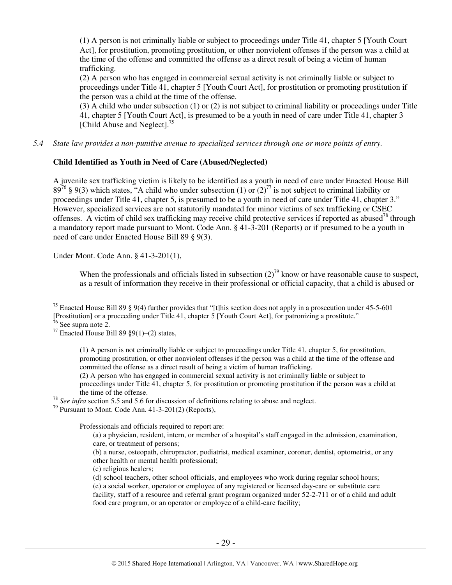(1) A person is not criminally liable or subject to proceedings under Title 41, chapter 5 [Youth Court Act], for prostitution, promoting prostitution, or other nonviolent offenses if the person was a child at the time of the offense and committed the offense as a direct result of being a victim of human trafficking.

(2) A person who has engaged in commercial sexual activity is not criminally liable or subject to proceedings under Title 41, chapter 5 [Youth Court Act], for prostitution or promoting prostitution if the person was a child at the time of the offense.

(3) A child who under subsection (1) or (2) is not subject to criminal liability or proceedings under Title 41, chapter 5 [Youth Court Act], is presumed to be a youth in need of care under Title 41, chapter 3 [Child Abuse and Neglect].<sup>75</sup>

*5.4 State law provides a non-punitive avenue to specialized services through one or more points of entry.*

## **Child Identified as Youth in Need of Care (Abused/Neglected)**

A juvenile sex trafficking victim is likely to be identified as a youth in need of care under Enacted House Bill  $89^{76}$  § 9(3) which states, "A child who under subsection (1) or (2)<sup>77</sup> is not subject to criminal liability or proceedings under Title 41, chapter 5, is presumed to be a youth in need of care under Title 41, chapter 3." However, specialized services are not statutorily mandated for minor victims of sex trafficking or CSEC offenses. A victim of child sex trafficking may receive child protective services if reported as abused<sup>78</sup> through a mandatory report made pursuant to Mont. Code Ann. § 41-3-201 (Reports) or if presumed to be a youth in need of care under Enacted House Bill 89 § 9(3).

Under Mont. Code Ann. § 41-3-201(1),

When the professionals and officials listed in subsection  $(2)^{79}$  know or have reasonable cause to suspect, as a result of information they receive in their professional or official capacity, that a child is abused or

 $\overline{a}$ 

(1) A person is not criminally liable or subject to proceedings under Title 41, chapter 5, for prostitution, promoting prostitution, or other nonviolent offenses if the person was a child at the time of the offense and committed the offense as a direct result of being a victim of human trafficking.

(2) A person who has engaged in commercial sexual activity is not criminally liable or subject to proceedings under Title 41, chapter 5, for prostitution or promoting prostitution if the person was a child at the time of the offense.

<sup>78</sup> *See infra* section 5.5 and 5.6 for discussion of definitions relating to abuse and neglect.

 $79$  Pursuant to Mont. Code Ann. 41-3-201(2) (Reports),

Professionals and officials required to report are:

(b) a nurse, osteopath, chiropractor, podiatrist, medical examiner, coroner, dentist, optometrist, or any other health or mental health professional;

(c) religious healers;

(d) school teachers, other school officials, and employees who work during regular school hours;

(e) a social worker, operator or employee of any registered or licensed day-care or substitute care facility, staff of a resource and referral grant program organized under 52-2-711 or of a child and adult food care program, or an operator or employee of a child-care facility;

<sup>&</sup>lt;sup>75</sup> Enacted House Bill 89 § 9(4) further provides that "[t]his section does not apply in a prosecution under 45-5-601 [Prostitution] or a proceeding under Title 41, chapter 5 [Youth Court Act], for patronizing a prostitute."

<sup>76</sup> See supra note 2.

<sup>&</sup>lt;sup>77</sup> Enacted House Bill 89  $\S9(1)$ –(2) states,

<sup>(</sup>a) a physician, resident, intern, or member of a hospital's staff engaged in the admission, examination, care, or treatment of persons;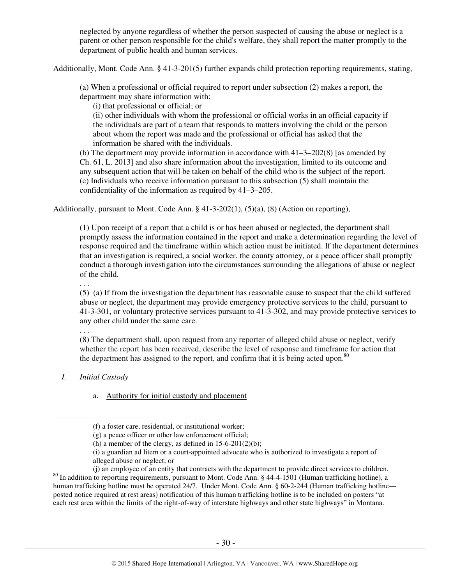neglected by anyone regardless of whether the person suspected of causing the abuse or neglect is a parent or other person responsible for the child's welfare, they shall report the matter promptly to the department of public health and human services.

Additionally, Mont. Code Ann. § 41-3-201(5) further expands child protection reporting requirements, stating,

(a) When a professional or official required to report under subsection (2) makes a report, the department may share information with:

(i) that professional or official; or

(ii) other individuals with whom the professional or official works in an official capacity if the individuals are part of a team that responds to matters involving the child or the person about whom the report was made and the professional or official has asked that the information be shared with the individuals.

(b) The department may provide information in accordance with  $41-3-202(8)$  [as amended by Ch. 61, L. 2013] and also share information about the investigation, limited to its outcome and any subsequent action that will be taken on behalf of the child who is the subject of the report. (c) Individuals who receive information pursuant to this subsection (5) shall maintain the confidentiality of the information as required by 41–3–205.

Additionally, pursuant to Mont. Code Ann. § 41-3-202(1), (5)(a), (8) (Action on reporting),

(1) Upon receipt of a report that a child is or has been abused or neglected, the department shall promptly assess the information contained in the report and make a determination regarding the level of response required and the timeframe within which action must be initiated. If the department determines that an investigation is required, a social worker, the county attorney, or a peace officer shall promptly conduct a thorough investigation into the circumstances surrounding the allegations of abuse or neglect of the child.

(5) (a) If from the investigation the department has reasonable cause to suspect that the child suffered abuse or neglect, the department may provide emergency protective services to the child, pursuant to 41-3-301, or voluntary protective services pursuant to 41-3-302, and may provide protective services to any other child under the same care.

. . .

 $\overline{a}$ 

. . .

(8) The department shall, upon request from any reporter of alleged child abuse or neglect, verify whether the report has been received, describe the level of response and timeframe for action that the department has assigned to the report, and confirm that it is being acted upon.<sup>80</sup>

*I. Initial Custody* 

a. Authority for initial custody and placement

<sup>(</sup>f) a foster care, residential, or institutional worker;

<sup>(</sup>g) a peace officer or other law enforcement official;

<sup>(</sup>h) a member of the clergy, as defined in  $15-6-201(2)(b)$ ;

<sup>(</sup>i) a guardian ad litem or a court-appointed advocate who is authorized to investigate a report of alleged abuse or neglect; or

<sup>(</sup>j) an employee of an entity that contracts with the department to provide direct services to children. <sup>80</sup> In addition to reporting requirements, pursuant to Mont. Code Ann. § 44-4-1501 (Human trafficking hotline), a human trafficking hotline must be operated 24/7. Under Mont. Code Ann. § 60-2-244 (Human trafficking hotline posted notice required at rest areas) notification of this human trafficking hotline is to be included on posters "at each rest area within the limits of the right-of-way of interstate highways and other state highways" in Montana.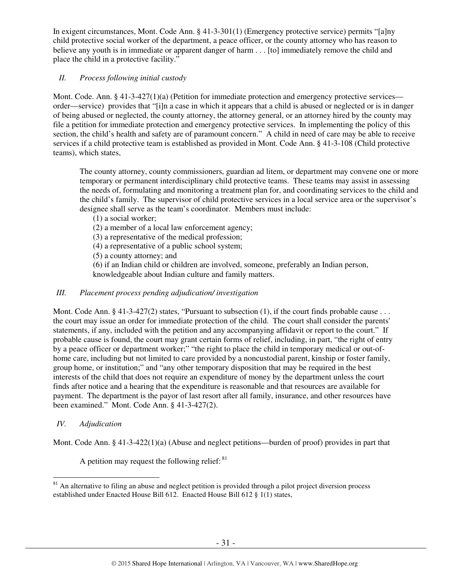In exigent circumstances, Mont. Code Ann. § 41-3-301(1) (Emergency protective service) permits "[a]ny child protective social worker of the department, a peace officer, or the county attorney who has reason to believe any youth is in immediate or apparent danger of harm . . . [to] immediately remove the child and place the child in a protective facility."

# *II. Process following initial custody*

Mont. Code. Ann. § 41-3-427(1)(a) (Petition for immediate protection and emergency protective services order—service) provides that "[i]n a case in which it appears that a child is abused or neglected or is in danger of being abused or neglected, the county attorney, the attorney general, or an attorney hired by the county may file a petition for immediate protection and emergency protective services. In implementing the policy of this section, the child's health and safety are of paramount concern." A child in need of care may be able to receive services if a child protective team is established as provided in Mont. Code Ann. § 41-3-108 (Child protective teams), which states,

The county attorney, county commissioners, guardian ad litem, or department may convene one or more temporary or permanent interdisciplinary child protective teams. These teams may assist in assessing the needs of, formulating and monitoring a treatment plan for, and coordinating services to the child and the child's family. The supervisor of child protective services in a local service area or the supervisor's designee shall serve as the team's coordinator. Members must include:

(1) a social worker;

(2) a member of a local law enforcement agency;

(3) a representative of the medical profession;

(4) a representative of a public school system;

(5) a county attorney; and

(6) if an Indian child or children are involved, someone, preferably an Indian person, knowledgeable about Indian culture and family matters.

## *III. Placement process pending adjudication/ investigation*

Mont. Code Ann.  $\S$  41-3-427(2) states, "Pursuant to subsection (1), if the court finds probable cause . . . the court may issue an order for immediate protection of the child. The court shall consider the parents' statements, if any, included with the petition and any accompanying affidavit or report to the court." If probable cause is found, the court may grant certain forms of relief, including, in part, "the right of entry by a peace officer or department worker;" "the right to place the child in temporary medical or out-ofhome care, including but not limited to care provided by a noncustodial parent, kinship or foster family, group home, or institution;" and "any other temporary disposition that may be required in the best interests of the child that does not require an expenditure of money by the department unless the court finds after notice and a hearing that the expenditure is reasonable and that resources are available for payment. The department is the payor of last resort after all family, insurance, and other resources have been examined." Mont. Code Ann. § 41-3-427(2).

## *IV. Adjudication*

 $\overline{a}$ 

Mont. Code Ann. § 41-3-422(1)(a) (Abuse and neglect petitions—burden of proof) provides in part that

A petition may request the following relief:  $81$ 

 $81$  An alternative to filing an abuse and neglect petition is provided through a pilot project diversion process established under Enacted House Bill 612. Enacted House Bill 612 § 1(1) states,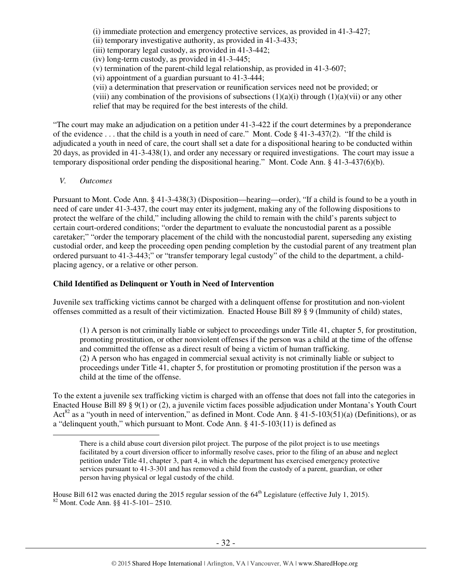(i) immediate protection and emergency protective services, as provided in 41-3-427;

(ii) temporary investigative authority, as provided in 41-3-433;

(iii) temporary legal custody, as provided in 41-3-442;

(iv) long-term custody, as provided in 41-3-445;

(v) termination of the parent-child legal relationship, as provided in 41-3-607;

(vi) appointment of a guardian pursuant to 41-3-444;

(vii) a determination that preservation or reunification services need not be provided; or

(viii) any combination of the provisions of subsections  $(1)(a)(i)$  through  $(1)(a)(vi)$  or any other

relief that may be required for the best interests of the child.

"The court may make an adjudication on a petition under 41-3-422 if the court determines by a preponderance of the evidence . . . that the child is a youth in need of care." Mont. Code § 41-3-437(2). "If the child is adjudicated a youth in need of care, the court shall set a date for a dispositional hearing to be conducted within 20 days, as provided in 41-3-438(1), and order any necessary or required investigations. The court may issue a temporary dispositional order pending the dispositional hearing." Mont. Code Ann. § 41-3-437(6)(b).

*V. Outcomes* 

 $\overline{a}$ 

Pursuant to Mont. Code Ann. § 41-3-438(3) (Disposition—hearing—order), "If a child is found to be a youth in need of care under 41-3-437, the court may enter its judgment, making any of the following dispositions to protect the welfare of the child," including allowing the child to remain with the child's parents subject to certain court-ordered conditions; "order the department to evaluate the noncustodial parent as a possible caretaker;" "order the temporary placement of the child with the noncustodial parent, superseding any existing custodial order, and keep the proceeding open pending completion by the custodial parent of any treatment plan ordered pursuant to 41-3-443;" or "transfer temporary legal custody" of the child to the department, a childplacing agency, or a relative or other person.

## **Child Identified as Delinquent or Youth in Need of Intervention**

Juvenile sex trafficking victims cannot be charged with a delinquent offense for prostitution and non-violent offenses committed as a result of their victimization. Enacted House Bill 89 § 9 (Immunity of child) states,

(1) A person is not criminally liable or subject to proceedings under Title 41, chapter 5, for prostitution, promoting prostitution, or other nonviolent offenses if the person was a child at the time of the offense and committed the offense as a direct result of being a victim of human trafficking. (2) A person who has engaged in commercial sexual activity is not criminally liable or subject to proceedings under Title 41, chapter 5, for prostitution or promoting prostitution if the person was a child at the time of the offense.

To the extent a juvenile sex trafficking victim is charged with an offense that does not fall into the categories in Enacted House Bill 89 § 9(1) or (2), a juvenile victim faces possible adjudication under Montana's Youth Court Act<sup>82</sup> as a "youth in need of intervention," as defined in Mont. Code Ann. § 41-5-103(51)(a) (Definitions), or as a "delinquent youth," which pursuant to Mont. Code Ann. § 41-5-103(11) is defined as

There is a child abuse court diversion pilot project. The purpose of the pilot project is to use meetings facilitated by a court diversion officer to informally resolve cases, prior to the filing of an abuse and neglect petition under Title 41, chapter 3, part 4, in which the department has exercised emergency protective services pursuant to 41-3-301 and has removed a child from the custody of a parent, guardian, or other person having physical or legal custody of the child.

House Bill 612 was enacted during the 2015 regular session of the 64<sup>th</sup> Legislature (effective July 1, 2015). <sup>82</sup> Mont. Code Ann. §§ 41-5-101– 2510.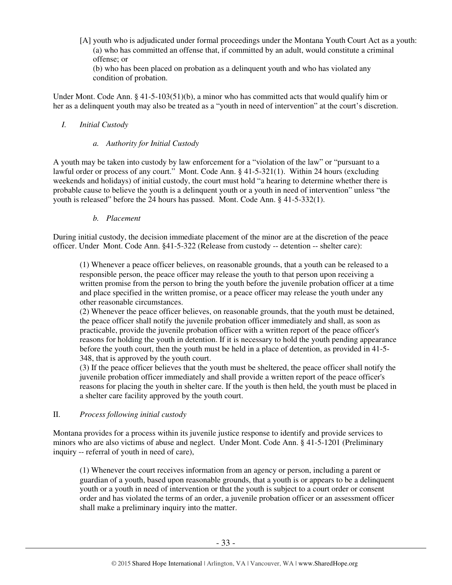[A] youth who is adjudicated under formal proceedings under the Montana Youth Court Act as a youth: (a) who has committed an offense that, if committed by an adult, would constitute a criminal offense; or

(b) who has been placed on probation as a delinquent youth and who has violated any condition of probation.

Under Mont. Code Ann. § 41-5-103(51)(b), a minor who has committed acts that would qualify him or her as a delinquent youth may also be treated as a "youth in need of intervention" at the court's discretion.

## *I. Initial Custody*

## *a. Authority for Initial Custody*

A youth may be taken into custody by law enforcement for a "violation of the law" or "pursuant to a lawful order or process of any court." Mont. Code Ann. § 41-5-321(1). Within 24 hours (excluding weekends and holidays) of initial custody, the court must hold "a hearing to determine whether there is probable cause to believe the youth is a delinquent youth or a youth in need of intervention" unless "the youth is released" before the 24 hours has passed. Mont. Code Ann. § 41-5-332(1).

## *b. Placement*

During initial custody, the decision immediate placement of the minor are at the discretion of the peace officer. Under Mont. Code Ann. §41-5-322 (Release from custody -- detention -- shelter care):

(1) Whenever a peace officer believes, on reasonable grounds, that a youth can be released to a responsible person, the peace officer may release the youth to that person upon receiving a written promise from the person to bring the youth before the juvenile probation officer at a time and place specified in the written promise, or a peace officer may release the youth under any other reasonable circumstances.

(2) Whenever the peace officer believes, on reasonable grounds, that the youth must be detained, the peace officer shall notify the juvenile probation officer immediately and shall, as soon as practicable, provide the juvenile probation officer with a written report of the peace officer's reasons for holding the youth in detention. If it is necessary to hold the youth pending appearance before the youth court, then the youth must be held in a place of detention, as provided in 41-5- 348, that is approved by the youth court.

(3) If the peace officer believes that the youth must be sheltered, the peace officer shall notify the juvenile probation officer immediately and shall provide a written report of the peace officer's reasons for placing the youth in shelter care. If the youth is then held, the youth must be placed in a shelter care facility approved by the youth court.

## II. *Process following initial custody*

Montana provides for a process within its juvenile justice response to identify and provide services to minors who are also victims of abuse and neglect. Under Mont. Code Ann. § 41-5-1201 (Preliminary inquiry -- referral of youth in need of care),

(1) Whenever the court receives information from an agency or person, including a parent or guardian of a youth, based upon reasonable grounds, that a youth is or appears to be a delinquent youth or a youth in need of intervention or that the youth is subject to a court order or consent order and has violated the terms of an order, a juvenile probation officer or an assessment officer shall make a preliminary inquiry into the matter.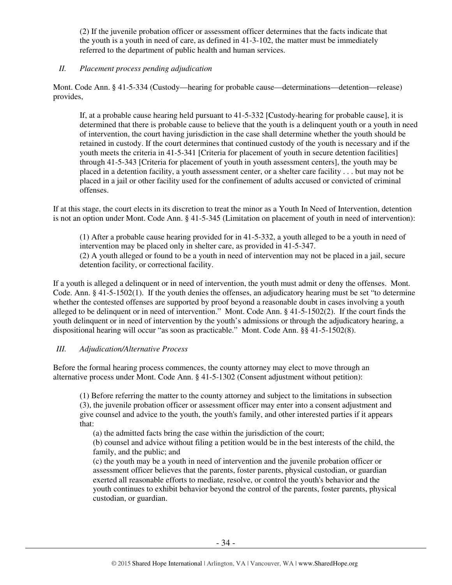(2) If the juvenile probation officer or assessment officer determines that the facts indicate that the youth is a youth in need of care, as defined in 41-3-102, the matter must be immediately referred to the department of public health and human services.

## *II. Placement process pending adjudication*

Mont. Code Ann. § 41-5-334 (Custody—hearing for probable cause—determinations—detention—release) provides,

If, at a probable cause hearing held pursuant to 41-5-332 [Custody-hearing for probable cause], it is determined that there is probable cause to believe that the youth is a delinquent youth or a youth in need of intervention, the court having jurisdiction in the case shall determine whether the youth should be retained in custody. If the court determines that continued custody of the youth is necessary and if the youth meets the criteria in 41-5-341 [Criteria for placement of youth in secure detention facilities] through 41-5-343 [Criteria for placement of youth in youth assessment centers], the youth may be placed in a detention facility, a youth assessment center, or a shelter care facility . . . but may not be placed in a jail or other facility used for the confinement of adults accused or convicted of criminal offenses.

If at this stage, the court elects in its discretion to treat the minor as a Youth In Need of Intervention, detention is not an option under Mont. Code Ann. § 41-5-345 (Limitation on placement of youth in need of intervention):

(1) After a probable cause hearing provided for in 41-5-332, a youth alleged to be a youth in need of intervention may be placed only in shelter care, as provided in 41-5-347. (2) A youth alleged or found to be a youth in need of intervention may not be placed in a jail, secure detention facility, or correctional facility.

If a youth is alleged a delinquent or in need of intervention, the youth must admit or deny the offenses. Mont. Code. Ann. § 41-5-1502(1). If the youth denies the offenses, an adjudicatory hearing must be set "to determine whether the contested offenses are supported by proof beyond a reasonable doubt in cases involving a youth alleged to be delinquent or in need of intervention." Mont. Code Ann. § 41-5-1502(2). If the court finds the youth delinquent or in need of intervention by the youth's admissions or through the adjudicatory hearing, a dispositional hearing will occur "as soon as practicable." Mont. Code Ann. §§ 41-5-1502(8).

# *III. Adjudication/Alternative Process*

Before the formal hearing process commences, the county attorney may elect to move through an alternative process under Mont. Code Ann. § 41-5-1302 (Consent adjustment without petition):

(1) Before referring the matter to the county attorney and subject to the limitations in subsection (3), the juvenile probation officer or assessment officer may enter into a consent adjustment and give counsel and advice to the youth, the youth's family, and other interested parties if it appears that:

(a) the admitted facts bring the case within the jurisdiction of the court;

(b) counsel and advice without filing a petition would be in the best interests of the child, the family, and the public; and

(c) the youth may be a youth in need of intervention and the juvenile probation officer or assessment officer believes that the parents, foster parents, physical custodian, or guardian exerted all reasonable efforts to mediate, resolve, or control the youth's behavior and the youth continues to exhibit behavior beyond the control of the parents, foster parents, physical custodian, or guardian.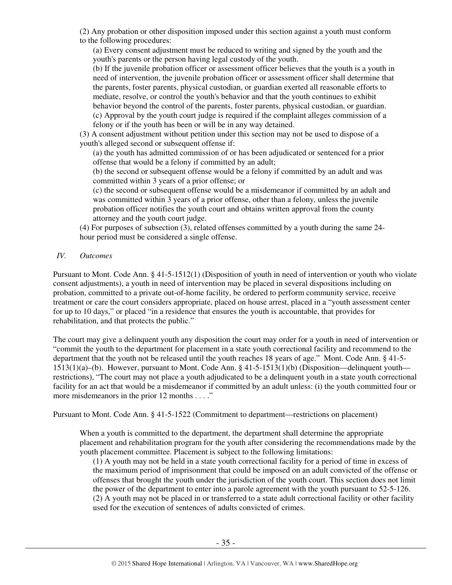(2) Any probation or other disposition imposed under this section against a youth must conform to the following procedures:

(a) Every consent adjustment must be reduced to writing and signed by the youth and the youth's parents or the person having legal custody of the youth.

(b) If the juvenile probation officer or assessment officer believes that the youth is a youth in need of intervention, the juvenile probation officer or assessment officer shall determine that the parents, foster parents, physical custodian, or guardian exerted all reasonable efforts to mediate, resolve, or control the youth's behavior and that the youth continues to exhibit behavior beyond the control of the parents, foster parents, physical custodian, or guardian. (c) Approval by the youth court judge is required if the complaint alleges commission of a felony or if the youth has been or will be in any way detained.

(3) A consent adjustment without petition under this section may not be used to dispose of a youth's alleged second or subsequent offense if:

(a) the youth has admitted commission of or has been adjudicated or sentenced for a prior offense that would be a felony if committed by an adult;

(b) the second or subsequent offense would be a felony if committed by an adult and was committed within 3 years of a prior offense; or

(c) the second or subsequent offense would be a misdemeanor if committed by an adult and was committed within 3 years of a prior offense, other than a felony, unless the juvenile probation officer notifies the youth court and obtains written approval from the county attorney and the youth court judge.

(4) For purposes of subsection (3), related offenses committed by a youth during the same 24 hour period must be considered a single offense.

## *IV. Outcomes*

Pursuant to Mont. Code Ann. § 41-5-1512(1) (Disposition of youth in need of intervention or youth who violate consent adjustments), a youth in need of intervention may be placed in several dispositions including on probation, committed to a private out-of-home facility, be ordered to perform community service, receive treatment or care the court considers appropriate, placed on house arrest, placed in a "youth assessment center for up to 10 days," or placed "in a residence that ensures the youth is accountable, that provides for rehabilitation, and that protects the public."

The court may give a delinquent youth any disposition the court may order for a youth in need of intervention or "commit the youth to the department for placement in a state youth correctional facility and recommend to the department that the youth not be released until the youth reaches 18 years of age." Mont. Code Ann. § 41-5- 1513(1)(a)–(b). However, pursuant to Mont. Code Ann. § 41-5-1513(1)(b) (Disposition—delinquent youth restrictions), "The court may not place a youth adjudicated to be a delinquent youth in a state youth correctional facility for an act that would be a misdemeanor if committed by an adult unless: (i) the youth committed four or more misdemeanors in the prior 12 months . . . ."

Pursuant to Mont. Code Ann. § 41-5-1522 (Commitment to department—restrictions on placement)

When a youth is committed to the department, the department shall determine the appropriate placement and rehabilitation program for the youth after considering the recommendations made by the youth placement committee. Placement is subject to the following limitations:

(1) A youth may not be held in a state youth correctional facility for a period of time in excess of the maximum period of imprisonment that could be imposed on an adult convicted of the offense or offenses that brought the youth under the jurisdiction of the youth court. This section does not limit the power of the department to enter into a parole agreement with the youth pursuant to 52-5-126. (2) A youth may not be placed in or transferred to a state adult correctional facility or other facility used for the execution of sentences of adults convicted of crimes.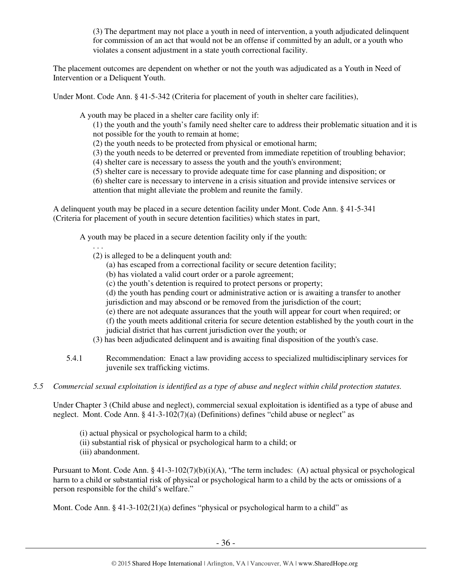(3) The department may not place a youth in need of intervention, a youth adjudicated delinquent for commission of an act that would not be an offense if committed by an adult, or a youth who violates a consent adjustment in a state youth correctional facility.

The placement outcomes are dependent on whether or not the youth was adjudicated as a Youth in Need of Intervention or a Deliquent Youth.

Under Mont. Code Ann. § 41-5-342 (Criteria for placement of youth in shelter care facilities),

A youth may be placed in a shelter care facility only if:

(1) the youth and the youth's family need shelter care to address their problematic situation and it is not possible for the youth to remain at home;

- (2) the youth needs to be protected from physical or emotional harm;
- (3) the youth needs to be deterred or prevented from immediate repetition of troubling behavior;
- (4) shelter care is necessary to assess the youth and the youth's environment;
- (5) shelter care is necessary to provide adequate time for case planning and disposition; or

(6) shelter care is necessary to intervene in a crisis situation and provide intensive services or attention that might alleviate the problem and reunite the family.

A delinquent youth may be placed in a secure detention facility under Mont. Code Ann. § 41-5-341 (Criteria for placement of youth in secure detention facilities) which states in part,

A youth may be placed in a secure detention facility only if the youth:

- . . .
- (2) is alleged to be a delinquent youth and:
	- (a) has escaped from a correctional facility or secure detention facility;
	- (b) has violated a valid court order or a parole agreement;
	- (c) the youth's detention is required to protect persons or property;
	- (d) the youth has pending court or administrative action or is awaiting a transfer to another
	- jurisdiction and may abscond or be removed from the jurisdiction of the court;
	- (e) there are not adequate assurances that the youth will appear for court when required; or (f) the youth meets additional criteria for secure detention established by the youth court in the judicial district that has current jurisdiction over the youth; or
- 
- (3) has been adjudicated delinquent and is awaiting final disposition of the youth's case.
- 5.4.1 Recommendation: Enact a law providing access to specialized multidisciplinary services for juvenile sex trafficking victims.
- *5.5 Commercial sexual exploitation is identified as a type of abuse and neglect within child protection statutes.*

Under Chapter 3 (Child abuse and neglect), commercial sexual exploitation is identified as a type of abuse and neglect. Mont. Code Ann. § 41-3-102(7)(a) (Definitions) defines "child abuse or neglect" as

- (i) actual physical or psychological harm to a child;
- (ii) substantial risk of physical or psychological harm to a child; or
- (iii) abandonment.

Pursuant to Mont. Code Ann. § 41-3-102(7)(b)(i)(A), "The term includes: (A) actual physical or psychological harm to a child or substantial risk of physical or psychological harm to a child by the acts or omissions of a person responsible for the child's welfare."

Mont. Code Ann. § 41-3-102(21)(a) defines "physical or psychological harm to a child" as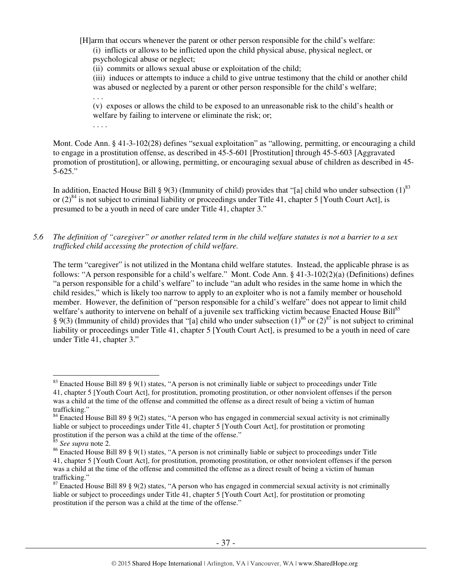[H]arm that occurs whenever the parent or other person responsible for the child's welfare: (i) inflicts or allows to be inflicted upon the child physical abuse, physical neglect, or psychological abuse or neglect;

(ii) commits or allows sexual abuse or exploitation of the child;

(iii) induces or attempts to induce a child to give untrue testimony that the child or another child was abused or neglected by a parent or other person responsible for the child's welfare;

(v) exposes or allows the child to be exposed to an unreasonable risk to the child's health or welfare by failing to intervene or eliminate the risk; or;

. . . .

. . .

Mont. Code Ann. § 41-3-102(28) defines "sexual exploitation" as "allowing, permitting, or encouraging a child to engage in a prostitution offense, as described in 45-5-601 [Prostitution] through 45-5-603 [Aggravated promotion of prostitution], or allowing, permitting, or encouraging sexual abuse of children as described in 45- 5-625."

In addition, Enacted House Bill § 9(3) (Immunity of child) provides that "[a] child who under subsection  $(1)^{83}$ or  $(2)^{84}$  is not subject to criminal liability or proceedings under Title 41, chapter 5 [Youth Court Act], is presumed to be a youth in need of care under Title 41, chapter 3."

*5.6 The definition of "caregiver" or another related term in the child welfare statutes is not a barrier to a sex trafficked child accessing the protection of child welfare.* 

The term "caregiver" is not utilized in the Montana child welfare statutes. Instead, the applicable phrase is as follows: "A person responsible for a child's welfare." Mont. Code Ann. § 41-3-102(2)(a) (Definitions) defines "a person responsible for a child's welfare" to include "an adult who resides in the same home in which the child resides," which is likely too narrow to apply to an exploiter who is not a family member or household member. However, the definition of "person responsible for a child's welfare" does not appear to limit child welfare's authority to intervene on behalf of a juvenile sex trafficking victim because Enacted House Bill<sup>85</sup> § 9(3) (Immunity of child) provides that "[a] child who under subsection  $(1)^{86}$  or  $(2)^{87}$  is not subject to criminal liability or proceedings under Title 41, chapter 5 [Youth Court Act], is presumed to be a youth in need of care under Title 41, chapter 3."

<sup>&</sup>lt;sup>83</sup> Enacted House Bill 89 § 9(1) states, "A person is not criminally liable or subject to proceedings under Title 41, chapter 5 [Youth Court Act], for prostitution, promoting prostitution, or other nonviolent offenses if the person was a child at the time of the offense and committed the offense as a direct result of being a victim of human trafficking."

 $84$  Enacted House Bill 89 § 9(2) states, "A person who has engaged in commercial sexual activity is not criminally liable or subject to proceedings under Title 41, chapter 5 [Youth Court Act], for prostitution or promoting prostitution if the person was a child at the time of the offense."

<sup>85</sup> *See supra* note 2.

<sup>&</sup>lt;sup>86</sup> Enacted House Bill 89 § 9(1) states, "A person is not criminally liable or subject to proceedings under Title 41, chapter 5 [Youth Court Act], for prostitution, promoting prostitution, or other nonviolent offenses if the person was a child at the time of the offense and committed the offense as a direct result of being a victim of human trafficking."

 $87$  Enacted House Bill 89 § 9(2) states, "A person who has engaged in commercial sexual activity is not criminally liable or subject to proceedings under Title 41, chapter 5 [Youth Court Act], for prostitution or promoting prostitution if the person was a child at the time of the offense."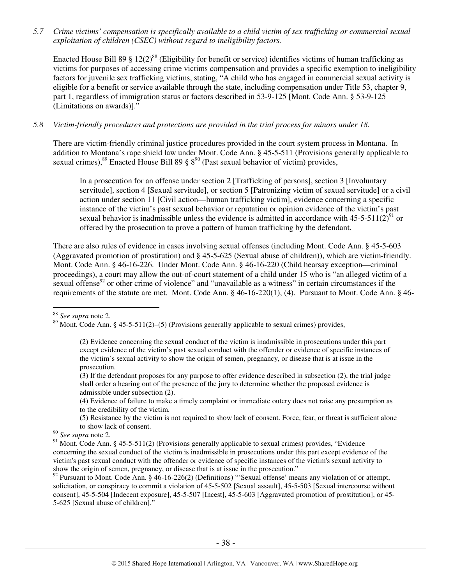*5.7 Crime victims' compensation is specifically available to a child victim of sex trafficking or commercial sexual exploitation of children (CSEC) without regard to ineligibility factors.* 

Enacted House Bill 89 § 12(2)<sup>88</sup> (Eligibility for benefit or service) identifies victims of human trafficking as victims for purposes of accessing crime victims compensation and provides a specific exemption to ineligibility factors for juvenile sex trafficking victims, stating, "A child who has engaged in commercial sexual activity is eligible for a benefit or service available through the state, including compensation under Title 53, chapter 9, part 1, regardless of immigration status or factors described in 53-9-125 [Mont. Code Ann. § 53-9-125 (Limitations on awards)]."

## *5.8 Victim-friendly procedures and protections are provided in the trial process for minors under 18.*

There are victim-friendly criminal justice procedures provided in the court system process in Montana. In addition to Montana's rape shield law under Mont. Code Ann. § 45-5-511 (Provisions generally applicable to sexual crimes),  $^{89}$  Enacted House Bill 89 §  $8^{90}$  (Past sexual behavior of victim) provides,

In a prosecution for an offense under section 2 [Trafficking of persons], section 3 [Involuntary servitude], section 4 [Sexual servitude], or section 5 [Patronizing victim of sexual servitude] or a civil action under section 11 [Civil action—human trafficking victim], evidence concerning a specific instance of the victim's past sexual behavior or reputation or opinion evidence of the victim's past sexual behavior is inadmissible unless the evidence is admitted in accordance with  $45-5-511(2)^{91}$  or offered by the prosecution to prove a pattern of human trafficking by the defendant.

There are also rules of evidence in cases involving sexual offenses (including Mont. Code Ann. § 45-5-603 (Aggravated promotion of prostitution) and § 45-5-625 (Sexual abuse of children)), which are victim-friendly. Mont. Code Ann. § 46-16-226. Under Mont. Code Ann. § 46-16-220 (Child hearsay exception—criminal proceedings), a court may allow the out-of-court statement of a child under 15 who is "an alleged victim of a sexual offense<sup>92</sup> or other crime of violence" and "unavailable as a witness" in certain circumstances if the requirements of the statute are met. Mont. Code Ann. § 46-16-220(1), (4). Pursuant to Mont. Code Ann. § 46-

<sup>88</sup> *See supra* note 2.

 $\overline{a}$ 

(4) Evidence of failure to make a timely complaint or immediate outcry does not raise any presumption as to the credibility of the victim.

(5) Resistance by the victim is not required to show lack of consent. Force, fear, or threat is sufficient alone to show lack of consent.

<sup>90</sup> *See supra* note 2.

<sup>92</sup> Pursuant to Mont. Code Ann. § 46-16-226(2) (Definitions) "'Sexual offense' means any violation of or attempt, solicitation, or conspiracy to commit a violation of 45-5-502 [Sexual assault], 45-5-503 [Sexual intercourse without consent], 45-5-504 [Indecent exposure], 45-5-507 [Incest], 45-5-603 [Aggravated promotion of prostitution], or 45- 5-625 [Sexual abuse of children]."

 $89$  Mont. Code Ann. § 45-5-511(2)–(5) (Provisions generally applicable to sexual crimes) provides,

<sup>(2)</sup> Evidence concerning the sexual conduct of the victim is inadmissible in prosecutions under this part except evidence of the victim's past sexual conduct with the offender or evidence of specific instances of the victim's sexual activity to show the origin of semen, pregnancy, or disease that is at issue in the prosecution.

<sup>(3)</sup> If the defendant proposes for any purpose to offer evidence described in subsection (2), the trial judge shall order a hearing out of the presence of the jury to determine whether the proposed evidence is admissible under subsection (2).

<sup>&</sup>lt;sup>91</sup> Mont. Code Ann. § 45-5-511(2) (Provisions generally applicable to sexual crimes) provides, "Evidence concerning the sexual conduct of the victim is inadmissible in prosecutions under this part except evidence of the victim's past sexual conduct with the offender or evidence of specific instances of the victim's sexual activity to show the origin of semen, pregnancy, or disease that is at issue in the prosecution."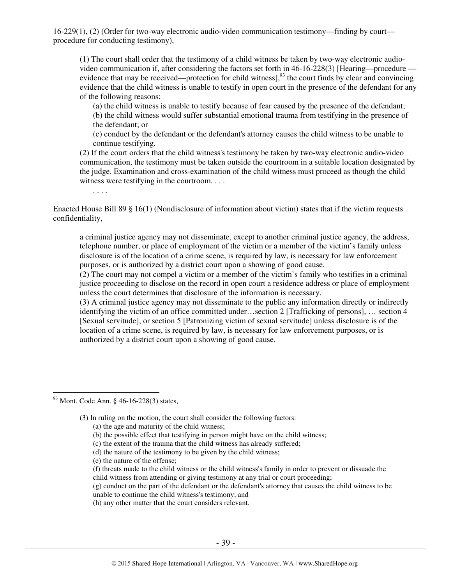16-229(1), (2) (Order for two-way electronic audio-video communication testimony—finding by court procedure for conducting testimony),

(1) The court shall order that the testimony of a child witness be taken by two-way electronic audiovideo communication if, after considering the factors set forth in 46-16-228(3) [Hearing—procedure evidence that may be received—protection for child witness],<sup>93</sup> the court finds by clear and convincing evidence that the child witness is unable to testify in open court in the presence of the defendant for any of the following reasons:

(a) the child witness is unable to testify because of fear caused by the presence of the defendant; (b) the child witness would suffer substantial emotional trauma from testifying in the presence of the defendant; or

(c) conduct by the defendant or the defendant's attorney causes the child witness to be unable to continue testifying.

(2) If the court orders that the child witness's testimony be taken by two-way electronic audio-video communication, the testimony must be taken outside the courtroom in a suitable location designated by the judge. Examination and cross-examination of the child witness must proceed as though the child witness were testifying in the courtroom. . . .

. . . .

Enacted House Bill 89 § 16(1) (Nondisclosure of information about victim) states that if the victim requests confidentiality,

a criminal justice agency may not disseminate, except to another criminal justice agency, the address, telephone number, or place of employment of the victim or a member of the victim's family unless disclosure is of the location of a crime scene, is required by law, is necessary for law enforcement purposes, or is authorized by a district court upon a showing of good cause.

(2) The court may not compel a victim or a member of the victim's family who testifies in a criminal justice proceeding to disclose on the record in open court a residence address or place of employment unless the court determines that disclosure of the information is necessary.

(3) A criminal justice agency may not disseminate to the public any information directly or indirectly identifying the victim of an office committed under…section 2 [Trafficking of persons], … section 4 [Sexual servitude], or section 5 [Patronizing victim of sexual servitude] unless disclosure is of the location of a crime scene, is required by law, is necessary for law enforcement purposes, or is authorized by a district court upon a showing of good cause.

 $93$  Mont. Code Ann. § 46-16-228(3) states,

 $\overline{a}$ 

(3) In ruling on the motion, the court shall consider the following factors:

- (b) the possible effect that testifying in person might have on the child witness;
- (c) the extent of the trauma that the child witness has already suffered;
- (d) the nature of the testimony to be given by the child witness;
- (e) the nature of the offense;
- (f) threats made to the child witness or the child witness's family in order to prevent or dissuade the child witness from attending or giving testimony at any trial or court proceeding;
- (g) conduct on the part of the defendant or the defendant's attorney that causes the child witness to be unable to continue the child witness's testimony; and
- (h) any other matter that the court considers relevant.

<sup>(</sup>a) the age and maturity of the child witness;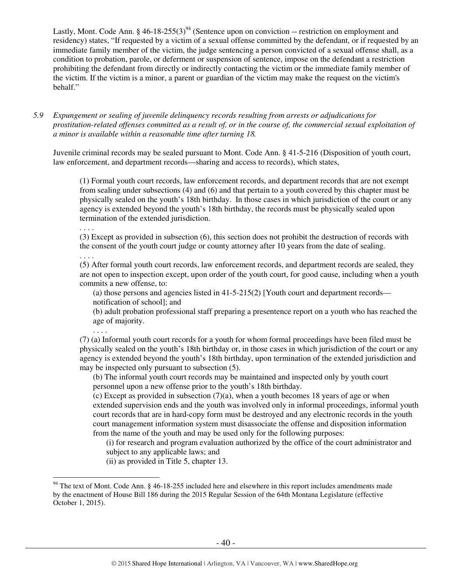Lastly, Mont. Code Ann. § 46-18-255(3)<sup>94</sup> (Sentence upon on conviction -- restriction on employment and residency) states, "If requested by a victim of a sexual offense committed by the defendant, or if requested by an immediate family member of the victim, the judge sentencing a person convicted of a sexual offense shall, as a condition to probation, parole, or deferment or suspension of sentence, impose on the defendant a restriction prohibiting the defendant from directly or indirectly contacting the victim or the immediate family member of the victim. If the victim is a minor, a parent or guardian of the victim may make the request on the victim's behalf."

*5.9 Expungement or sealing of juvenile delinquency records resulting from arrests or adjudications for prostitution-related offenses committed as a result of, or in the course of, the commercial sexual exploitation of a minor is available within a reasonable time after turning 18.* 

Juvenile criminal records may be sealed pursuant to Mont. Code Ann. § 41-5-216 (Disposition of youth court, law enforcement, and department records—sharing and access to records), which states,

(1) Formal youth court records, law enforcement records, and department records that are not exempt from sealing under subsections (4) and (6) and that pertain to a youth covered by this chapter must be physically sealed on the youth's 18th birthday. In those cases in which jurisdiction of the court or any agency is extended beyond the youth's 18th birthday, the records must be physically sealed upon termination of the extended jurisdiction.

. . . . (3) Except as provided in subsection (6), this section does not prohibit the destruction of records with the consent of the youth court judge or county attorney after 10 years from the date of sealing.

. . . .

 $\overline{a}$ 

(5) After formal youth court records, law enforcement records, and department records are sealed, they are not open to inspection except, upon order of the youth court, for good cause, including when a youth commits a new offense, to:

(a) those persons and agencies listed in 41-5-215(2) [Youth court and department records notification of school]; and

(b) adult probation professional staff preparing a presentence report on a youth who has reached the age of majority.

. . . . (7) (a) Informal youth court records for a youth for whom formal proceedings have been filed must be physically sealed on the youth's 18th birthday or, in those cases in which jurisdiction of the court or any agency is extended beyond the youth's 18th birthday, upon termination of the extended jurisdiction and may be inspected only pursuant to subsection (5).

(b) The informal youth court records may be maintained and inspected only by youth court personnel upon a new offense prior to the youth's 18th birthday.

(c) Except as provided in subsection  $(7)(a)$ , when a youth becomes 18 years of age or when extended supervision ends and the youth was involved only in informal proceedings, informal youth court records that are in hard-copy form must be destroyed and any electronic records in the youth court management information system must disassociate the offense and disposition information from the name of the youth and may be used only for the following purposes:

(i) for research and program evaluation authorized by the office of the court administrator and subject to any applicable laws; and

(ii) as provided in Title 5, chapter 13.

<sup>&</sup>lt;sup>94</sup> The text of Mont. Code Ann. § 46-18-255 included here and elsewhere in this report includes amendments made by the enactment of House Bill 186 during the 2015 Regular Session of the 64th Montana Legislature (effective October 1, 2015).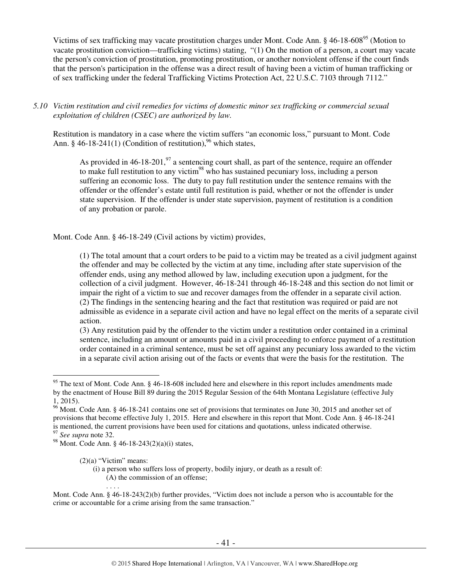Victims of sex trafficking may vacate prostitution charges under Mont. Code Ann. § 46-18-608<sup>95</sup> (Motion to vacate prostitution conviction—trafficking victims) stating, "(1) On the motion of a person, a court may vacate the person's conviction of prostitution, promoting prostitution, or another nonviolent offense if the court finds that the person's participation in the offense was a direct result of having been a victim of human trafficking or of sex trafficking under the federal Trafficking Victims Protection Act, 22 U.S.C. 7103 through 7112."

## *5.10 Victim restitution and civil remedies for victims of domestic minor sex trafficking or commercial sexual exploitation of children (CSEC) are authorized by law.*

Restitution is mandatory in a case where the victim suffers "an economic loss," pursuant to Mont. Code Ann. § 46-18-241(1) (Condition of restitution),<sup>96</sup> which states,

As provided in 46-18-201,  $\frac{97}{2}$  a sentencing court shall, as part of the sentence, require an offender to make full restitution to any victim<sup>98</sup> who has sustained pecuniary loss, including a person suffering an economic loss. The duty to pay full restitution under the sentence remains with the offender or the offender's estate until full restitution is paid, whether or not the offender is under state supervision. If the offender is under state supervision, payment of restitution is a condition of any probation or parole.

Mont. Code Ann. § 46-18-249 (Civil actions by victim) provides,

(1) The total amount that a court orders to be paid to a victim may be treated as a civil judgment against the offender and may be collected by the victim at any time, including after state supervision of the offender ends, using any method allowed by law, including execution upon a judgment, for the collection of a civil judgment. However, 46-18-241 through 46-18-248 and this section do not limit or impair the right of a victim to sue and recover damages from the offender in a separate civil action. (2) The findings in the sentencing hearing and the fact that restitution was required or paid are not admissible as evidence in a separate civil action and have no legal effect on the merits of a separate civil action.

(3) Any restitution paid by the offender to the victim under a restitution order contained in a criminal sentence, including an amount or amounts paid in a civil proceeding to enforce payment of a restitution order contained in a criminal sentence, must be set off against any pecuniary loss awarded to the victim in a separate civil action arising out of the facts or events that were the basis for the restitution. The

 $\overline{a}$ 

. . . .

(A) the commission of an offense;

Mont. Code Ann. § 46-18-243(2)(b) further provides, "Victim does not include a person who is accountable for the crime or accountable for a crime arising from the same transaction."

<sup>&</sup>lt;sup>95</sup> The text of Mont. Code Ann. § 46-18-608 included here and elsewhere in this report includes amendments made by the enactment of House Bill 89 during the 2015 Regular Session of the 64th Montana Legislature (effective July 1, 2015).

 $96$  Mont. Code Ann. § 46-18-241 contains one set of provisions that terminates on June 30, 2015 and another set of provisions that become effective July 1, 2015. Here and elsewhere in this report that Mont. Code Ann. § 46-18-241 is mentioned, the current provisions have been used for citations and quotations, unless indicated otherwise.

<sup>97</sup> *See supra* note 32.

<sup>98</sup> Mont. Code Ann. § 46-18-243(2)(a)(i) states,

 $(2)(a)$  "Victim" means:

<sup>(</sup>i) a person who suffers loss of property, bodily injury, or death as a result of: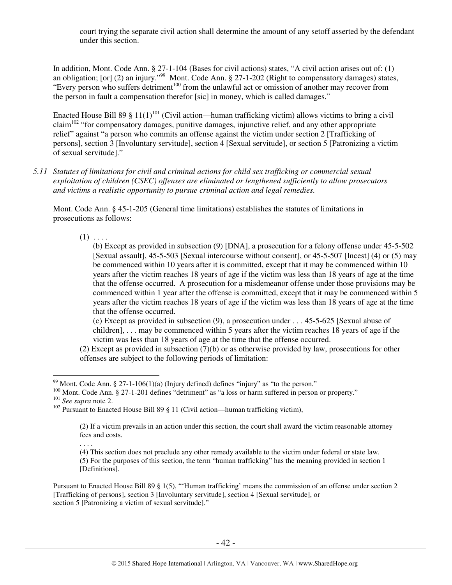court trying the separate civil action shall determine the amount of any setoff asserted by the defendant under this section.

In addition, Mont. Code Ann. § 27-1-104 (Bases for civil actions) states, "A civil action arises out of: (1) an obligation; [or] (2) an injury."<sup>99</sup> Mont. Code Ann.  $\S 27$ -1-202 (Right to compensatory damages) states, "Every person who suffers detriment $100$  from the unlawful act or omission of another may recover from the person in fault a compensation therefor [sic] in money, which is called damages."

Enacted House Bill 89 § 11(1)<sup>101</sup> (Civil action—human trafficking victim) allows victims to bring a civil claim<sup>102</sup> "for compensatory damages, punitive damages, injunctive relief, and any other appropriate relief" against "a person who commits an offense against the victim under section 2 [Trafficking of persons], section 3 [Involuntary servitude], section 4 [Sexual servitude], or section 5 [Patronizing a victim of sexual servitude]."

*5.11 Statutes of limitations for civil and criminal actions for child sex trafficking or commercial sexual exploitation of children (CSEC) offenses are eliminated or lengthened sufficiently to allow prosecutors and victims a realistic opportunity to pursue criminal action and legal remedies.* 

Mont. Code Ann. § 45-1-205 (General time limitations) establishes the statutes of limitations in prosecutions as follows:

 $(1)$  . . . .

(b) Except as provided in subsection (9) [DNA], a prosecution for a felony offense under 45-5-502 [Sexual assault], 45-5-503 [Sexual intercourse without consent], or 45-5-507 [Incest] (4) or (5) may be commenced within 10 years after it is committed, except that it may be commenced within 10 years after the victim reaches 18 years of age if the victim was less than 18 years of age at the time that the offense occurred. A prosecution for a misdemeanor offense under those provisions may be commenced within 1 year after the offense is committed, except that it may be commenced within 5 years after the victim reaches 18 years of age if the victim was less than 18 years of age at the time that the offense occurred.

(c) Except as provided in subsection (9), a prosecution under . . . 45-5-625 [Sexual abuse of children], . . . may be commenced within 5 years after the victim reaches 18 years of age if the victim was less than 18 years of age at the time that the offense occurred.

(2) Except as provided in subsection (7)(b) or as otherwise provided by law, prosecutions for other offenses are subject to the following periods of limitation:

 $\overline{a}$ <sup>99</sup> Mont. Code Ann. § 27-1-106(1)(a) (Injury defined) defines "injury" as "to the person."

<sup>&</sup>lt;sup>100</sup> Mont. Code Ann. § 27-1-201 defines "detriment" as "a loss or harm suffered in person or property."

<sup>101</sup> *See supra* note 2.

<sup>&</sup>lt;sup>102</sup> Pursuant to Enacted House Bill 89 § 11 (Civil action—human trafficking victim),

<sup>(2)</sup> If a victim prevails in an action under this section, the court shall award the victim reasonable attorney fees and costs.

<sup>. . . .</sup>  (4) This section does not preclude any other remedy available to the victim under federal or state law.

<sup>(5)</sup> For the purposes of this section, the term "human trafficking" has the meaning provided in section 1 [Definitions].

Pursuant to Enacted House Bill 89 § 1(5), "'Human trafficking' means the commission of an offense under section 2 [Trafficking of persons], section 3 [Involuntary servitude], section 4 [Sexual servitude], or section 5 [Patronizing a victim of sexual servitude]."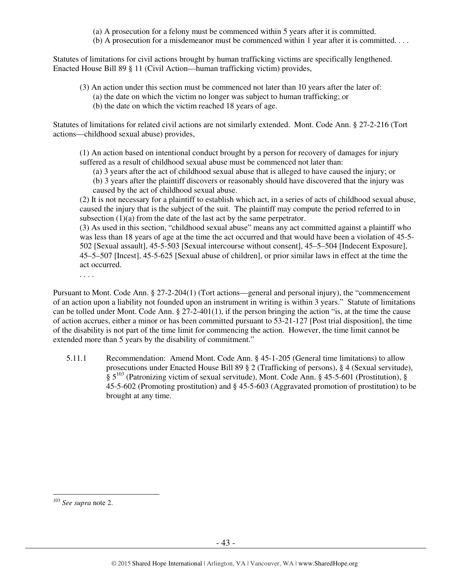- (a) A prosecution for a felony must be commenced within 5 years after it is committed.
- (b) A prosecution for a misdemeanor must be commenced within 1 year after it is committed. . . .

Statutes of limitations for civil actions brought by human trafficking victims are specifically lengthened. Enacted House Bill 89 § 11 (Civil Action—human trafficking victim) provides,

- (3) An action under this section must be commenced not later than 10 years after the later of:
	- (a) the date on which the victim no longer was subject to human trafficking; or
	- (b) the date on which the victim reached 18 years of age.

Statutes of limitations for related civil actions are not similarly extended. Mont. Code Ann. § 27-2-216 (Tort actions—childhood sexual abuse) provides,

(1) An action based on intentional conduct brought by a person for recovery of damages for injury suffered as a result of childhood sexual abuse must be commenced not later than:

(a) 3 years after the act of childhood sexual abuse that is alleged to have caused the injury; or

(b) 3 years after the plaintiff discovers or reasonably should have discovered that the injury was caused by the act of childhood sexual abuse.

(2) It is not necessary for a plaintiff to establish which act, in a series of acts of childhood sexual abuse, caused the injury that is the subject of the suit. The plaintiff may compute the period referred to in subsection (1)(a) from the date of the last act by the same perpetrator.

(3) As used in this section, "childhood sexual abuse" means any act committed against a plaintiff who was less than 18 years of age at the time the act occurred and that would have been a violation of 45-5- 502 [Sexual assault], 45-5-503 [Sexual intercourse without consent], 45–5–504 [Indecent Exposure], 45–5–507 [Incest], 45-5-625 [Sexual abuse of children], or prior similar laws in effect at the time the act occurred.

. . . .

Pursuant to Mont. Code Ann. § 27-2-204(1) (Tort actions—general and personal injury), the "commencement of an action upon a liability not founded upon an instrument in writing is within 3 years." Statute of limitations can be tolled under Mont. Code Ann. § 27-2-401(1), if the person bringing the action "is, at the time the cause of action accrues, either a minor or has been committed pursuant to 53-21-127 [Post trial disposition], the time of the disability is not part of the time limit for commencing the action. However, the time limit cannot be extended more than 5 years by the disability of commitment."

5.11.1 Recommendation: Amend Mont. Code Ann. § 45-1-205 (General time limitations) to allow prosecutions under Enacted House Bill 89 § 2 (Trafficking of persons), § 4 (Sexual servitude),  $\S 5^{103}$  (Patronizing victim of sexual servitude), Mont. Code Ann. § 45-5-601 (Prostitution), § 45-5-602 (Promoting prostitution) and § 45-5-603 (Aggravated promotion of prostitution) to be brought at any time.

 $\overline{a}$ <sup>103</sup> *See supra* note 2.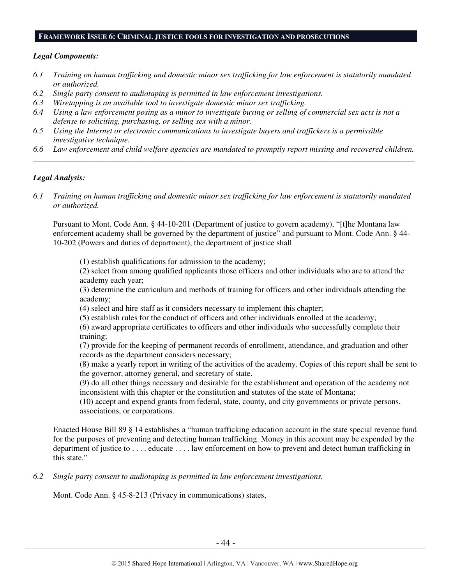#### **FRAMEWORK ISSUE 6: CRIMINAL JUSTICE TOOLS FOR INVESTIGATION AND PROSECUTIONS**

#### *Legal Components:*

- *6.1 Training on human trafficking and domestic minor sex trafficking for law enforcement is statutorily mandated or authorized.*
- *6.2 Single party consent to audiotaping is permitted in law enforcement investigations.*
- *6.3 Wiretapping is an available tool to investigate domestic minor sex trafficking.*
- *6.4 Using a law enforcement posing as a minor to investigate buying or selling of commercial sex acts is not a defense to soliciting, purchasing, or selling sex with a minor.*
- *6.5 Using the Internet or electronic communications to investigate buyers and traffickers is a permissible investigative technique.*
- *6.6 Law enforcement and child welfare agencies are mandated to promptly report missing and recovered children. \_\_\_\_\_\_\_\_\_\_\_\_\_\_\_\_\_\_\_\_\_\_\_\_\_\_\_\_\_\_\_\_\_\_\_\_\_\_\_\_\_\_\_\_\_\_\_\_\_\_\_\_\_\_\_\_\_\_\_\_\_\_\_\_\_\_\_\_\_\_\_\_\_\_\_\_\_\_\_\_\_\_\_\_\_\_\_\_\_\_\_\_\_\_*

#### *Legal Analysis:*

*6.1 Training on human trafficking and domestic minor sex trafficking for law enforcement is statutorily mandated or authorized.* 

Pursuant to Mont. Code Ann. § 44-10-201 (Department of justice to govern academy), "[t]he Montana law enforcement academy shall be governed by the department of justice" and pursuant to Mont. Code Ann. § 44- 10-202 (Powers and duties of department), the department of justice shall

(1) establish qualifications for admission to the academy;

(2) select from among qualified applicants those officers and other individuals who are to attend the academy each year;

(3) determine the curriculum and methods of training for officers and other individuals attending the academy;

- (4) select and hire staff as it considers necessary to implement this chapter;
- (5) establish rules for the conduct of officers and other individuals enrolled at the academy;

(6) award appropriate certificates to officers and other individuals who successfully complete their training;

(7) provide for the keeping of permanent records of enrollment, attendance, and graduation and other records as the department considers necessary;

(8) make a yearly report in writing of the activities of the academy. Copies of this report shall be sent to the governor, attorney general, and secretary of state.

(9) do all other things necessary and desirable for the establishment and operation of the academy not inconsistent with this chapter or the constitution and statutes of the state of Montana;

(10) accept and expend grants from federal, state, county, and city governments or private persons, associations, or corporations.

Enacted House Bill 89 § 14 establishes a "human trafficking education account in the state special revenue fund for the purposes of preventing and detecting human trafficking. Money in this account may be expended by the department of justice to . . . . educate . . . . law enforcement on how to prevent and detect human trafficking in this state."

*6.2 Single party consent to audiotaping is permitted in law enforcement investigations.* 

Mont. Code Ann. § 45-8-213 (Privacy in communications) states,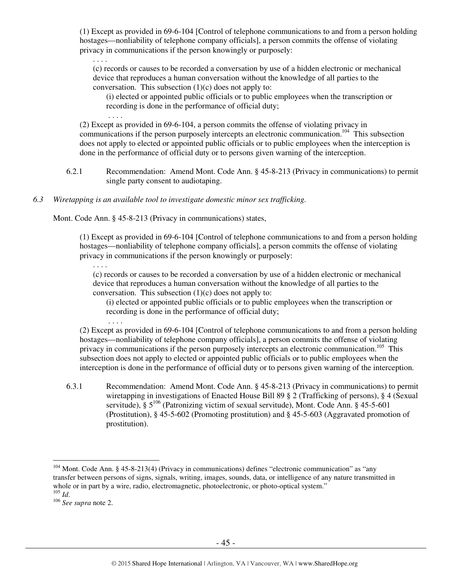(1) Except as provided in 69-6-104 [Control of telephone communications to and from a person holding hostages—nonliability of telephone company officials], a person commits the offense of violating privacy in communications if the person knowingly or purposely:

. . . . (c) records or causes to be recorded a conversation by use of a hidden electronic or mechanical device that reproduces a human conversation without the knowledge of all parties to the conversation. This subsection  $(1)(c)$  does not apply to:

(i) elected or appointed public officials or to public employees when the transcription or recording is done in the performance of official duty;

(2) Except as provided in 69-6-104, a person commits the offense of violating privacy in communications if the person purposely intercepts an electronic communication.<sup>104</sup> This subsection does not apply to elected or appointed public officials or to public employees when the interception is done in the performance of official duty or to persons given warning of the interception.

- 6.2.1 Recommendation: Amend Mont. Code Ann. § 45-8-213 (Privacy in communications) to permit single party consent to audiotaping.
- *6.3 Wiretapping is an available tool to investigate domestic minor sex trafficking.*

Mont. Code Ann. § 45-8-213 (Privacy in communications) states,

. . . .

. . . .

. . . .

(1) Except as provided in 69-6-104 [Control of telephone communications to and from a person holding hostages—nonliability of telephone company officials], a person commits the offense of violating privacy in communications if the person knowingly or purposely:

(c) records or causes to be recorded a conversation by use of a hidden electronic or mechanical device that reproduces a human conversation without the knowledge of all parties to the conversation. This subsection  $(1)(c)$  does not apply to:

(i) elected or appointed public officials or to public employees when the transcription or recording is done in the performance of official duty;

(2) Except as provided in 69-6-104 [Control of telephone communications to and from a person holding hostages—nonliability of telephone company officials], a person commits the offense of violating privacy in communications if the person purposely intercepts an electronic communication.<sup>105</sup> This subsection does not apply to elected or appointed public officials or to public employees when the interception is done in the performance of official duty or to persons given warning of the interception.

6.3.1 Recommendation: Amend Mont. Code Ann. § 45-8-213 (Privacy in communications) to permit wiretapping in investigations of Enacted House Bill 89 § 2 (Trafficking of persons), § 4 (Sexual servitude),  $\frac{2}{5}$  5<sup>106</sup> (Patronizing victim of sexual servitude), Mont. Code Ann. § 45-5-601 (Prostitution), § 45-5-602 (Promoting prostitution) and § 45-5-603 (Aggravated promotion of prostitution).

<sup>&</sup>lt;sup>104</sup> Mont. Code Ann. § 45-8-213(4) (Privacy in communications) defines "electronic communication" as "any transfer between persons of signs, signals, writing, images, sounds, data, or intelligence of any nature transmitted in whole or in part by a wire, radio, electromagnetic, photoelectronic, or photo-optical system." <sup>105</sup> *Id*.

<sup>106</sup> *See supra* note 2.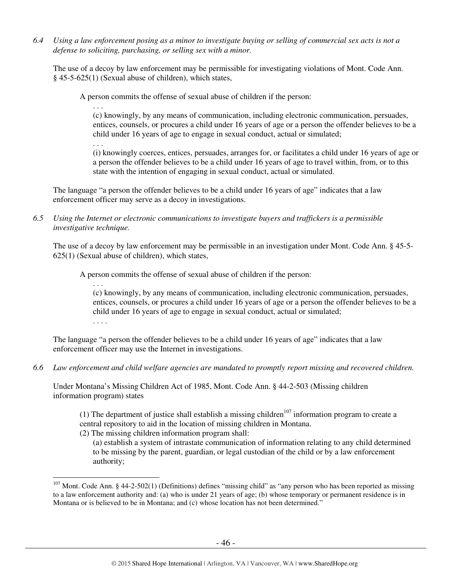*6.4 Using a law enforcement posing as a minor to investigate buying or selling of commercial sex acts is not a defense to soliciting, purchasing, or selling sex with a minor.* 

The use of a decoy by law enforcement may be permissible for investigating violations of Mont. Code Ann. § 45-5-625(1) (Sexual abuse of children), which states,

A person commits the offense of sexual abuse of children if the person:

. . .

 $\overline{a}$ 

. . . (c) knowingly, by any means of communication, including electronic communication, persuades, entices, counsels, or procures a child under 16 years of age or a person the offender believes to be a child under 16 years of age to engage in sexual conduct, actual or simulated;

(i) knowingly coerces, entices, persuades, arranges for, or facilitates a child under 16 years of age or a person the offender believes to be a child under 16 years of age to travel within, from, or to this state with the intention of engaging in sexual conduct, actual or simulated.

The language "a person the offender believes to be a child under 16 years of age" indicates that a law enforcement officer may serve as a decoy in investigations.

*6.5 Using the Internet or electronic communications to investigate buyers and traffickers is a permissible investigative technique.* 

The use of a decoy by law enforcement may be permissible in an investigation under Mont. Code Ann. § 45-5- 625(1) (Sexual abuse of children), which states,

A person commits the offense of sexual abuse of children if the person:

. . . (c) knowingly, by any means of communication, including electronic communication, persuades, entices, counsels, or procures a child under 16 years of age or a person the offender believes to be a child under 16 years of age to engage in sexual conduct, actual or simulated; . . . .

The language "a person the offender believes to be a child under 16 years of age" indicates that a law enforcement officer may use the Internet in investigations.

*6.6 Law enforcement and child welfare agencies are mandated to promptly report missing and recovered children.* 

Under Montana's Missing Children Act of 1985, Mont. Code Ann. § 44-2-503 (Missing children information program) states

(1) The department of justice shall establish a missing children<sup>107</sup> information program to create a central repository to aid in the location of missing children in Montana.

(2) The missing children information program shall:

(a) establish a system of intrastate communication of information relating to any child determined to be missing by the parent, guardian, or legal custodian of the child or by a law enforcement authority;

 $107$  Mont. Code Ann. § 44-2-502(1) (Definitions) defines "missing child" as "any person who has been reported as missing to a law enforcement authority and: (a) who is under 21 years of age; (b) whose temporary or permanent residence is in Montana or is believed to be in Montana; and (c) whose location has not been determined."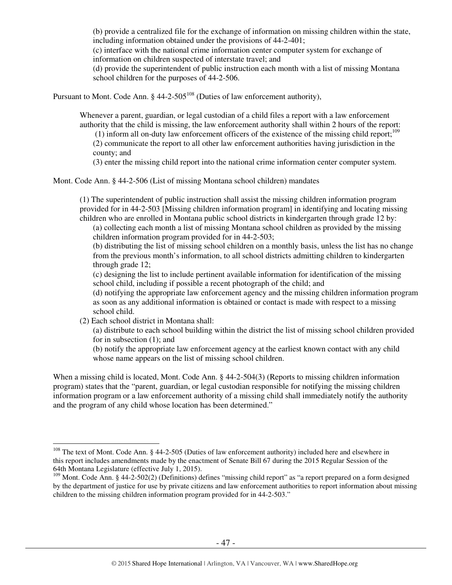(b) provide a centralized file for the exchange of information on missing children within the state, including information obtained under the provisions of 44-2-401;

(c) interface with the national crime information center computer system for exchange of information on children suspected of interstate travel; and

(d) provide the superintendent of public instruction each month with a list of missing Montana school children for the purposes of 44-2-506.

Pursuant to Mont. Code Ann.  $\S$  44-2-505<sup>108</sup> (Duties of law enforcement authority),

Whenever a parent, guardian, or legal custodian of a child files a report with a law enforcement authority that the child is missing, the law enforcement authority shall within 2 hours of the report:

(1) inform all on-duty law enforcement officers of the existence of the missing child report; $^{109}$ 

(2) communicate the report to all other law enforcement authorities having jurisdiction in the county; and

(3) enter the missing child report into the national crime information center computer system.

Mont. Code Ann. § 44-2-506 (List of missing Montana school children) mandates

(1) The superintendent of public instruction shall assist the missing children information program provided for in 44-2-503 [Missing children information program] in identifying and locating missing children who are enrolled in Montana public school districts in kindergarten through grade 12 by:

(a) collecting each month a list of missing Montana school children as provided by the missing children information program provided for in 44-2-503;

(b) distributing the list of missing school children on a monthly basis, unless the list has no change from the previous month's information, to all school districts admitting children to kindergarten through grade 12;

(c) designing the list to include pertinent available information for identification of the missing school child, including if possible a recent photograph of the child; and

(d) notifying the appropriate law enforcement agency and the missing children information program as soon as any additional information is obtained or contact is made with respect to a missing school child.

(2) Each school district in Montana shall:

 $\overline{a}$ 

(a) distribute to each school building within the district the list of missing school children provided for in subsection (1); and

(b) notify the appropriate law enforcement agency at the earliest known contact with any child whose name appears on the list of missing school children.

When a missing child is located, Mont. Code Ann. § 44-2-504(3) (Reports to missing children information program) states that the "parent, guardian, or legal custodian responsible for notifying the missing children information program or a law enforcement authority of a missing child shall immediately notify the authority and the program of any child whose location has been determined."

<sup>&</sup>lt;sup>108</sup> The text of Mont. Code Ann. § 44-2-505 (Duties of law enforcement authority) included here and elsewhere in this report includes amendments made by the enactment of Senate Bill 67 during the 2015 Regular Session of the 64th Montana Legislature (effective July 1, 2015).

<sup>&</sup>lt;sup>109</sup> Mont. Code Ann. § 44-2-502(2) (Definitions) defines "missing child report" as "a report prepared on a form designed by the department of justice for use by private citizens and law enforcement authorities to report information about missing children to the missing children information program provided for in 44-2-503."